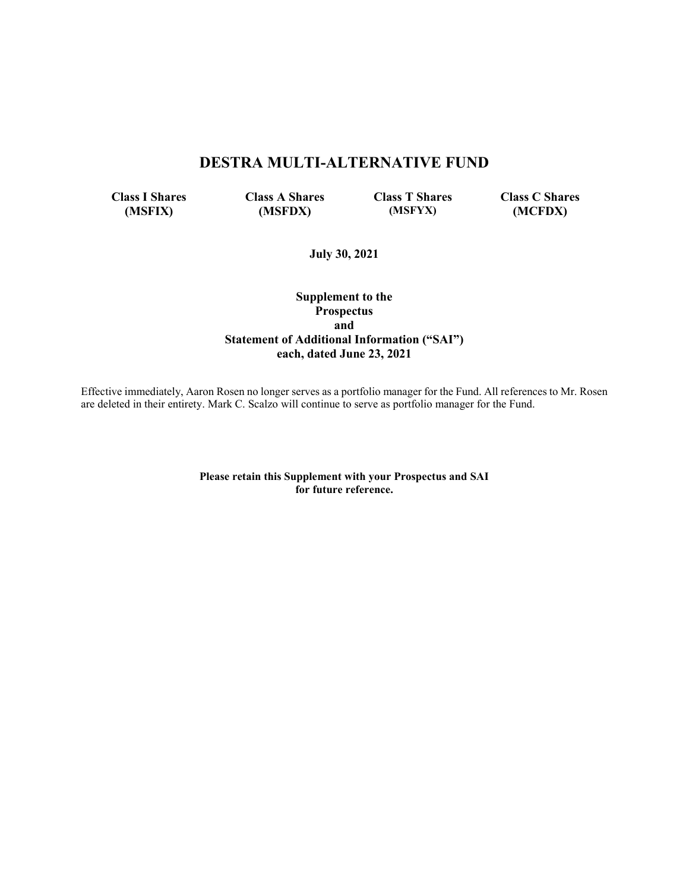# **DESTRA MULTI-ALTERNATIVE FUND**

**Class I Shares (MSFIX)**

**Class A Shares (MSFDX)**

**Class T Shares (MSFYX)**

**Class C Shares (MCFDX)**

**July 30, 2021**

## **Supplement to the Prospectus and Statement of Additional Information ("SAI") each, dated June 23, 2021**

Effective immediately, Aaron Rosen no longer serves as a portfolio manager for the Fund. All references to Mr. Rosen are deleted in their entirety. Mark C. Scalzo will continue to serve as portfolio manager for the Fund.

> **Please retain this Supplement with your Prospectus and SAI for future reference.**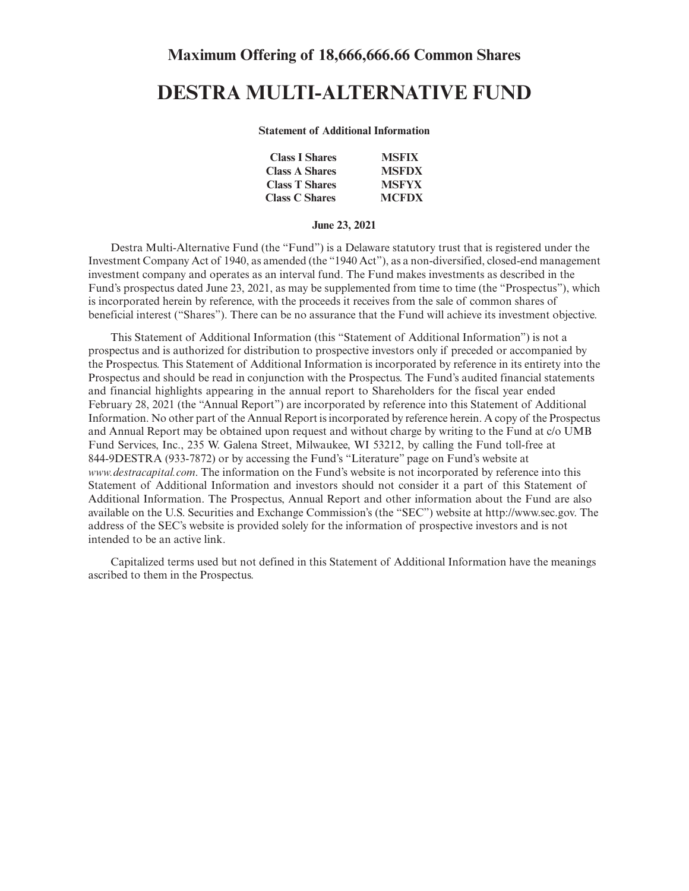# **Maximum Offering of 18,666,666.66 Common Shares**

# **DESTRA MULTI-ALTERNATIVE FUND**

#### **Statement of Additional Information**

| <b>Class I Shares</b> | <b>MSFIX</b> |
|-----------------------|--------------|
| <b>Class A Shares</b> | <b>MSFDX</b> |
| <b>Class T Shares</b> | <b>MSFYX</b> |
| <b>Class C Shares</b> | <b>MCFDX</b> |

#### **June 23, 2021**

Destra Multi-Alternative Fund (the "Fund") is a Delaware statutory trust that is registered under the Investment Company Act of 1940, as amended (the "1940 Act"), as a non-diversified, closed-end management investment company and operates as an interval fund. The Fund makes investments as described in the Fund's prospectus dated June 23, 2021, as may be supplemented from time to time (the "Prospectus"), which is incorporated herein by reference, with the proceeds it receives from the sale of common shares of beneficial interest ("Shares"). There can be no assurance that the Fund will achieve its investment objective.

This Statement of Additional Information (this "Statement of Additional Information") is not a prospectus and is authorized for distribution to prospective investors only if preceded or accompanied by the Prospectus. This Statement of Additional Information is incorporated by reference in its entirety into the Prospectus and should be read in conjunction with the Prospectus. The Fund's audited financial statements and financial highlights appearing in the annual report to Shareholders for the fiscal year ended February 28, 2021 (the "Annual Report") are incorporated by reference into this Statement of Additional Information. No other part of the Annual Report is incorporated by reference herein. A copy of the Prospectus and Annual Report may be obtained upon request and without charge by writing to the Fund at c/o UMB Fund Services, Inc., 235 W. Galena Street, Milwaukee, WI 53212, by calling the Fund toll-free at 844-9DESTRA (933-7872) or by accessing the Fund's "Literature" page on Fund's website at *www.destracapital.com*. The information on the Fund's website is not incorporated by reference into this Statement of Additional Information and investors should not consider it a part of this Statement of Additional Information. The Prospectus, Annual Report and other information about the Fund are also available on the U.S. Securities and Exchange Commission's (the "SEC") website at http://www.sec.gov. The address of the SEC's website is provided solely for the information of prospective investors and is not intended to be an active link.

Capitalized terms used but not defined in this Statement of Additional Information have the meanings ascribed to them in the Prospectus.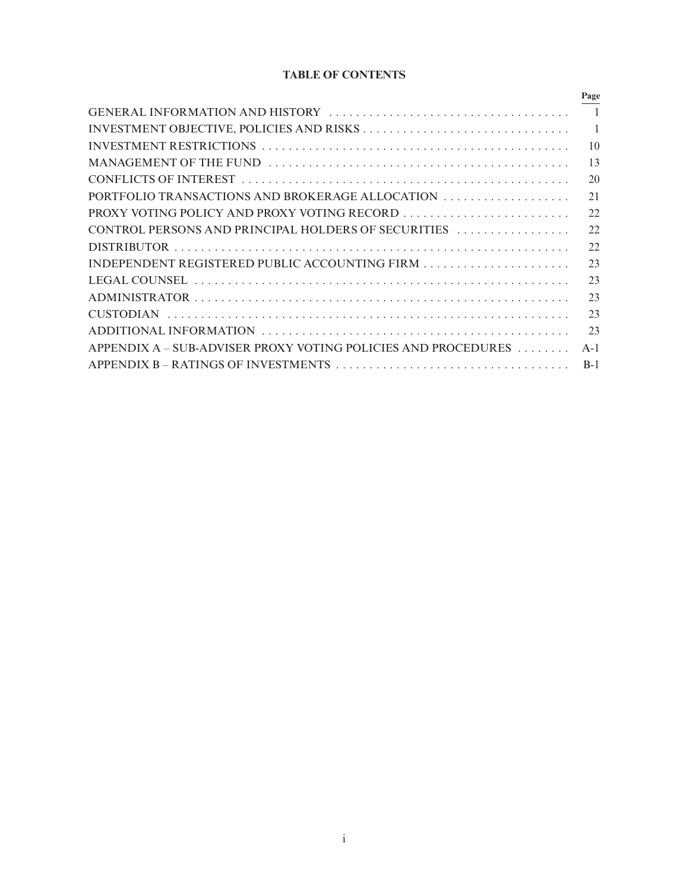# **TABLE OF CONTENTS**

| PORTFOLIO TRANSACTIONS AND BROKERAGE ALLOCATION<br>21<br>CONTROL PERSONS AND PRINCIPAL HOLDERS OF SECURITIES<br>INDEPENDENT REGISTERED PUBLIC ACCOUNTING FIRM<br>APPENDIX A – SUB-ADVISER PROXY VOTING POLICIES AND PROCEDURES | Page           |
|--------------------------------------------------------------------------------------------------------------------------------------------------------------------------------------------------------------------------------|----------------|
|                                                                                                                                                                                                                                | $\overline{1}$ |
|                                                                                                                                                                                                                                | $\overline{1}$ |
|                                                                                                                                                                                                                                | 10             |
|                                                                                                                                                                                                                                | 13             |
|                                                                                                                                                                                                                                | 20             |
|                                                                                                                                                                                                                                |                |
|                                                                                                                                                                                                                                | 22             |
|                                                                                                                                                                                                                                | 22             |
|                                                                                                                                                                                                                                | 22.            |
|                                                                                                                                                                                                                                | 23             |
|                                                                                                                                                                                                                                | 23             |
|                                                                                                                                                                                                                                | 23             |
|                                                                                                                                                                                                                                | 23             |
|                                                                                                                                                                                                                                | 23             |
|                                                                                                                                                                                                                                | $A-1$          |
|                                                                                                                                                                                                                                | $B-1$          |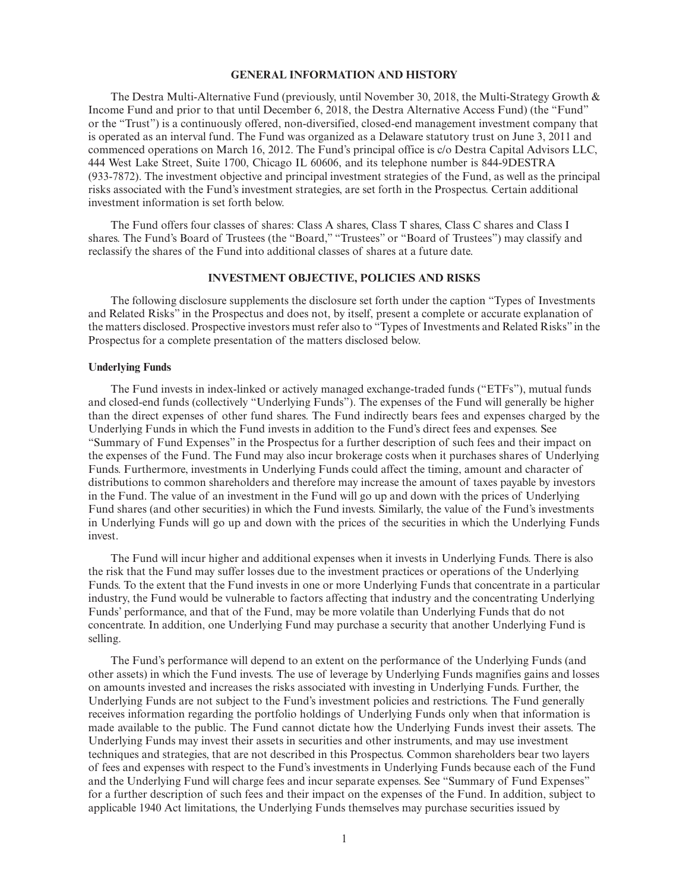## **GENERAL INFORMATION AND HISTORY**

The Destra Multi-Alternative Fund (previously, until November 30, 2018, the Multi-Strategy Growth & Income Fund and prior to that until December 6, 2018, the Destra Alternative Access Fund) (the "Fund" or the "Trust") is a continuously offered, non-diversified, closed-end management investment company that is operated as an interval fund. The Fund was organized as a Delaware statutory trust on June 3, 2011 and commenced operations on March 16, 2012. The Fund's principal office is c/o Destra Capital Advisors LLC, 444 West Lake Street, Suite 1700, Chicago IL 60606, and its telephone number is 844-9DESTRA (933-7872). The investment objective and principal investment strategies of the Fund, as well as the principal risks associated with the Fund's investment strategies, are set forth in the Prospectus. Certain additional investment information is set forth below.

The Fund offers four classes of shares: Class A shares, Class T shares, Class C shares and Class I shares. The Fund's Board of Trustees (the "Board," "Trustees" or "Board of Trustees") may classify and reclassify the shares of the Fund into additional classes of shares at a future date.

## **INVESTMENT OBJECTIVE, POLICIES AND RISKS**

The following disclosure supplements the disclosure set forth under the caption "Types of Investments and Related Risks" in the Prospectus and does not, by itself, present a complete or accurate explanation of the matters disclosed. Prospective investors must refer also to "Types of Investments and Related Risks"in the Prospectus for a complete presentation of the matters disclosed below.

#### **Underlying Funds**

The Fund invests in index-linked or actively managed exchange-traded funds ("ETFs"), mutual funds and closed-end funds (collectively "Underlying Funds"). The expenses of the Fund will generally be higher than the direct expenses of other fund shares. The Fund indirectly bears fees and expenses charged by the Underlying Funds in which the Fund invests in addition to the Fund's direct fees and expenses. See "Summary of Fund Expenses" in the Prospectus for a further description of such fees and their impact on the expenses of the Fund. The Fund may also incur brokerage costs when it purchases shares of Underlying Funds. Furthermore, investments in Underlying Funds could affect the timing, amount and character of distributions to common shareholders and therefore may increase the amount of taxes payable by investors in the Fund. The value of an investment in the Fund will go up and down with the prices of Underlying Fund shares (and other securities) in which the Fund invests. Similarly, the value of the Fund's investments in Underlying Funds will go up and down with the prices of the securities in which the Underlying Funds invest.

The Fund will incur higher and additional expenses when it invests in Underlying Funds. There is also the risk that the Fund may suffer losses due to the investment practices or operations of the Underlying Funds. To the extent that the Fund invests in one or more Underlying Funds that concentrate in a particular industry, the Fund would be vulnerable to factors affecting that industry and the concentrating Underlying Funds' performance, and that of the Fund, may be more volatile than Underlying Funds that do not concentrate. In addition, one Underlying Fund may purchase a security that another Underlying Fund is selling.

The Fund's performance will depend to an extent on the performance of the Underlying Funds (and other assets) in which the Fund invests. The use of leverage by Underlying Funds magnifies gains and losses on amounts invested and increases the risks associated with investing in Underlying Funds. Further, the Underlying Funds are not subject to the Fund's investment policies and restrictions. The Fund generally receives information regarding the portfolio holdings of Underlying Funds only when that information is made available to the public. The Fund cannot dictate how the Underlying Funds invest their assets. The Underlying Funds may invest their assets in securities and other instruments, and may use investment techniques and strategies, that are not described in this Prospectus. Common shareholders bear two layers of fees and expenses with respect to the Fund's investments in Underlying Funds because each of the Fund and the Underlying Fund will charge fees and incur separate expenses. See "Summary of Fund Expenses" for a further description of such fees and their impact on the expenses of the Fund. In addition, subject to applicable 1940 Act limitations, the Underlying Funds themselves may purchase securities issued by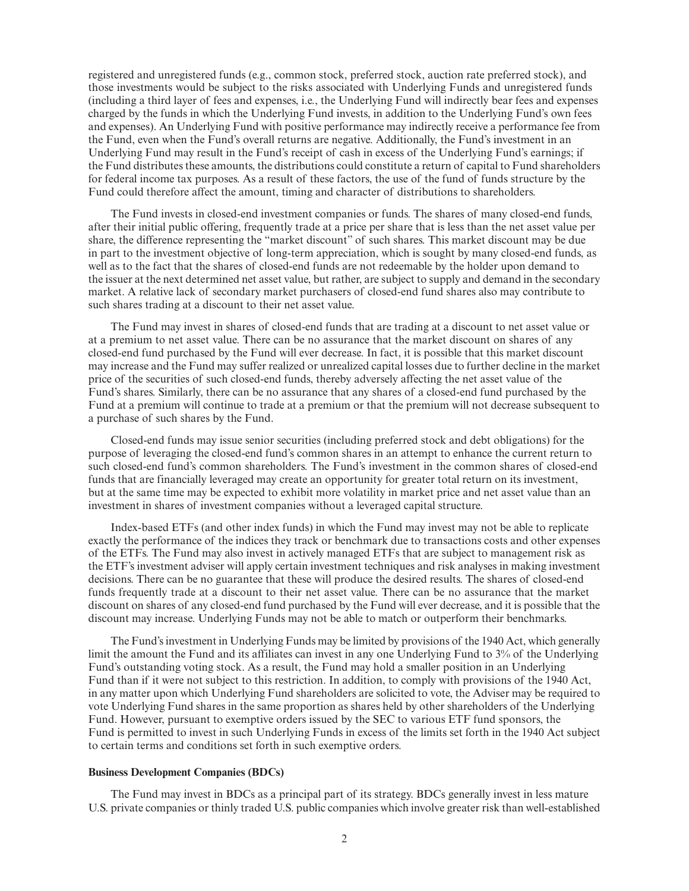registered and unregistered funds (e.g., common stock, preferred stock, auction rate preferred stock), and those investments would be subject to the risks associated with Underlying Funds and unregistered funds (including a third layer of fees and expenses, i.e., the Underlying Fund will indirectly bear fees and expenses charged by the funds in which the Underlying Fund invests, in addition to the Underlying Fund's own fees and expenses). An Underlying Fund with positive performance may indirectly receive a performance fee from the Fund, even when the Fund's overall returns are negative. Additionally, the Fund's investment in an Underlying Fund may result in the Fund's receipt of cash in excess of the Underlying Fund's earnings; if the Fund distributes these amounts, the distributions could constitute a return of capital to Fund shareholders for federal income tax purposes. As a result of these factors, the use of the fund of funds structure by the Fund could therefore affect the amount, timing and character of distributions to shareholders.

The Fund invests in closed-end investment companies or funds. The shares of many closed-end funds, after their initial public offering, frequently trade at a price per share that is less than the net asset value per share, the difference representing the "market discount" of such shares. This market discount may be due in part to the investment objective of long-term appreciation, which is sought by many closed-end funds, as well as to the fact that the shares of closed-end funds are not redeemable by the holder upon demand to the issuer at the next determined net asset value, but rather, are subject to supply and demand in the secondary market. A relative lack of secondary market purchasers of closed-end fund shares also may contribute to such shares trading at a discount to their net asset value.

The Fund may invest in shares of closed-end funds that are trading at a discount to net asset value or at a premium to net asset value. There can be no assurance that the market discount on shares of any closed-end fund purchased by the Fund will ever decrease. In fact, it is possible that this market discount may increase and the Fund may suffer realized or unrealized capital losses due to further decline in the market price of the securities of such closed-end funds, thereby adversely affecting the net asset value of the Fund's shares. Similarly, there can be no assurance that any shares of a closed-end fund purchased by the Fund at a premium will continue to trade at a premium or that the premium will not decrease subsequent to a purchase of such shares by the Fund.

Closed-end funds may issue senior securities (including preferred stock and debt obligations) for the purpose of leveraging the closed-end fund's common shares in an attempt to enhance the current return to such closed-end fund's common shareholders. The Fund's investment in the common shares of closed-end funds that are financially leveraged may create an opportunity for greater total return on its investment, but at the same time may be expected to exhibit more volatility in market price and net asset value than an investment in shares of investment companies without a leveraged capital structure.

Index-based ETFs (and other index funds) in which the Fund may invest may not be able to replicate exactly the performance of the indices they track or benchmark due to transactions costs and other expenses of the ETFs. The Fund may also invest in actively managed ETFs that are subject to management risk as the ETF's investment adviser will apply certain investment techniques and risk analyses in making investment decisions. There can be no guarantee that these will produce the desired results. The shares of closed-end funds frequently trade at a discount to their net asset value. There can be no assurance that the market discount on shares of any closed-end fund purchased by the Fund will ever decrease, and it is possible that the discount may increase. Underlying Funds may not be able to match or outperform their benchmarks.

The Fund's investment in Underlying Funds may be limited by provisions of the 1940 Act, which generally limit the amount the Fund and its affiliates can invest in any one Underlying Fund to 3% of the Underlying Fund's outstanding voting stock. As a result, the Fund may hold a smaller position in an Underlying Fund than if it were not subject to this restriction. In addition, to comply with provisions of the 1940 Act, in any matter upon which Underlying Fund shareholders are solicited to vote, the Adviser may be required to vote Underlying Fund shares in the same proportion as shares held by other shareholders of the Underlying Fund. However, pursuant to exemptive orders issued by the SEC to various ETF fund sponsors, the Fund is permitted to invest in such Underlying Funds in excess of the limits set forth in the 1940 Act subject to certain terms and conditions set forth in such exemptive orders.

## **Business Development Companies (BDCs)**

The Fund may invest in BDCs as a principal part of its strategy. BDCs generally invest in less mature U.S. private companies or thinly traded U.S. public companies which involve greater risk than well-established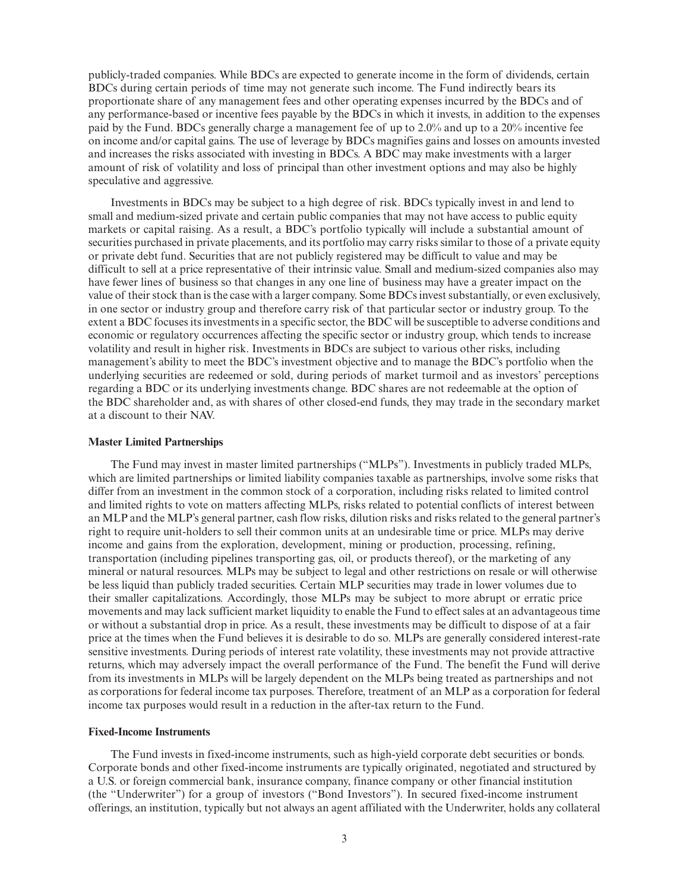publicly-traded companies. While BDCs are expected to generate income in the form of dividends, certain BDCs during certain periods of time may not generate such income. The Fund indirectly bears its proportionate share of any management fees and other operating expenses incurred by the BDCs and of any performance-based or incentive fees payable by the BDCs in which it invests, in addition to the expenses paid by the Fund. BDCs generally charge a management fee of up to 2.0% and up to a 20% incentive fee on income and/or capital gains. The use of leverage by BDCs magnifies gains and losses on amounts invested and increases the risks associated with investing in BDCs. A BDC may make investments with a larger amount of risk of volatility and loss of principal than other investment options and may also be highly speculative and aggressive.

Investments in BDCs may be subject to a high degree of risk. BDCs typically invest in and lend to small and medium-sized private and certain public companies that may not have access to public equity markets or capital raising. As a result, a BDC's portfolio typically will include a substantial amount of securities purchased in private placements, and its portfolio may carry risks similar to those of a private equity or private debt fund. Securities that are not publicly registered may be difficult to value and may be difficult to sell at a price representative of their intrinsic value. Small and medium-sized companies also may have fewer lines of business so that changes in any one line of business may have a greater impact on the value of their stock than is the case with a larger company. Some BDCs invest substantially, or even exclusively, in one sector or industry group and therefore carry risk of that particular sector or industry group. To the extent a BDC focuses its investments in a specific sector, the BDC will be susceptible to adverse conditions and economic or regulatory occurrences affecting the specific sector or industry group, which tends to increase volatility and result in higher risk. Investments in BDCs are subject to various other risks, including management's ability to meet the BDC's investment objective and to manage the BDC's portfolio when the underlying securities are redeemed or sold, during periods of market turmoil and as investors' perceptions regarding a BDC or its underlying investments change. BDC shares are not redeemable at the option of the BDC shareholder and, as with shares of other closed-end funds, they may trade in the secondary market at a discount to their NAV.

#### **Master Limited Partnerships**

The Fund may invest in master limited partnerships ("MLPs"). Investments in publicly traded MLPs, which are limited partnerships or limited liability companies taxable as partnerships, involve some risks that differ from an investment in the common stock of a corporation, including risks related to limited control and limited rights to vote on matters affecting MLPs, risks related to potential conflicts of interest between an MLP and the MLP's general partner, cash flow risks, dilution risks and risks related to the general partner's right to require unit-holders to sell their common units at an undesirable time or price. MLPs may derive income and gains from the exploration, development, mining or production, processing, refining, transportation (including pipelines transporting gas, oil, or products thereof), or the marketing of any mineral or natural resources. MLPs may be subject to legal and other restrictions on resale or will otherwise be less liquid than publicly traded securities. Certain MLP securities may trade in lower volumes due to their smaller capitalizations. Accordingly, those MLPs may be subject to more abrupt or erratic price movements and may lack sufficient market liquidity to enable the Fund to effect sales at an advantageous time or without a substantial drop in price. As a result, these investments may be difficult to dispose of at a fair price at the times when the Fund believes it is desirable to do so. MLPs are generally considered interest-rate sensitive investments. During periods of interest rate volatility, these investments may not provide attractive returns, which may adversely impact the overall performance of the Fund. The benefit the Fund will derive from its investments in MLPs will be largely dependent on the MLPs being treated as partnerships and not as corporations for federal income tax purposes. Therefore, treatment of an MLP as a corporation for federal income tax purposes would result in a reduction in the after-tax return to the Fund.

#### **Fixed-Income Instruments**

The Fund invests in fixed-income instruments, such as high-yield corporate debt securities or bonds. Corporate bonds and other fixed-income instruments are typically originated, negotiated and structured by a U.S. or foreign commercial bank, insurance company, finance company or other financial institution (the "Underwriter") for a group of investors ("Bond Investors"). In secured fixed-income instrument offerings, an institution, typically but not always an agent affiliated with the Underwriter, holds any collateral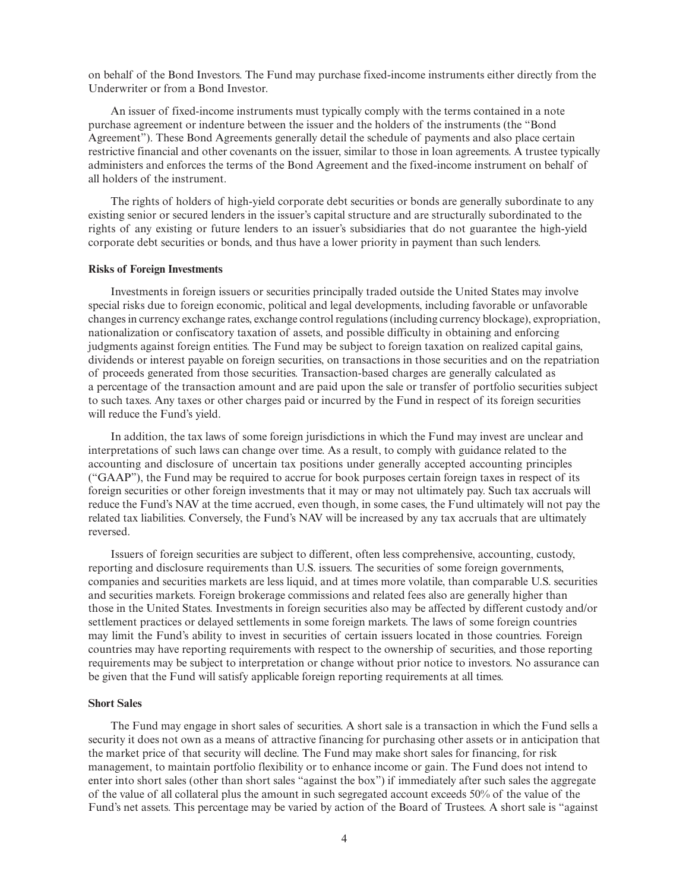on behalf of the Bond Investors. The Fund may purchase fixed-income instruments either directly from the Underwriter or from a Bond Investor.

An issuer of fixed-income instruments must typically comply with the terms contained in a note purchase agreement or indenture between the issuer and the holders of the instruments (the "Bond Agreement"). These Bond Agreements generally detail the schedule of payments and also place certain restrictive financial and other covenants on the issuer, similar to those in loan agreements. A trustee typically administers and enforces the terms of the Bond Agreement and the fixed-income instrument on behalf of all holders of the instrument.

The rights of holders of high-yield corporate debt securities or bonds are generally subordinate to any existing senior or secured lenders in the issuer's capital structure and are structurally subordinated to the rights of any existing or future lenders to an issuer's subsidiaries that do not guarantee the high-yield corporate debt securities or bonds, and thus have a lower priority in payment than such lenders.

#### **Risks of Foreign Investments**

Investments in foreign issuers or securities principally traded outside the United States may involve special risks due to foreign economic, political and legal developments, including favorable or unfavorable changes in currency exchange rates, exchange control regulations (including currency blockage), expropriation, nationalization or confiscatory taxation of assets, and possible difficulty in obtaining and enforcing judgments against foreign entities. The Fund may be subject to foreign taxation on realized capital gains, dividends or interest payable on foreign securities, on transactions in those securities and on the repatriation of proceeds generated from those securities. Transaction-based charges are generally calculated as a percentage of the transaction amount and are paid upon the sale or transfer of portfolio securities subject to such taxes. Any taxes or other charges paid or incurred by the Fund in respect of its foreign securities will reduce the Fund's yield.

In addition, the tax laws of some foreign jurisdictions in which the Fund may invest are unclear and interpretations of such laws can change over time. As a result, to comply with guidance related to the accounting and disclosure of uncertain tax positions under generally accepted accounting principles ("GAAP"), the Fund may be required to accrue for book purposes certain foreign taxes in respect of its foreign securities or other foreign investments that it may or may not ultimately pay. Such tax accruals will reduce the Fund's NAV at the time accrued, even though, in some cases, the Fund ultimately will not pay the related tax liabilities. Conversely, the Fund's NAV will be increased by any tax accruals that are ultimately reversed.

Issuers of foreign securities are subject to different, often less comprehensive, accounting, custody, reporting and disclosure requirements than U.S. issuers. The securities of some foreign governments, companies and securities markets are less liquid, and at times more volatile, than comparable U.S. securities and securities markets. Foreign brokerage commissions and related fees also are generally higher than those in the United States. Investments in foreign securities also may be affected by different custody and/or settlement practices or delayed settlements in some foreign markets. The laws of some foreign countries may limit the Fund's ability to invest in securities of certain issuers located in those countries. Foreign countries may have reporting requirements with respect to the ownership of securities, and those reporting requirements may be subject to interpretation or change without prior notice to investors. No assurance can be given that the Fund will satisfy applicable foreign reporting requirements at all times.

#### **Short Sales**

The Fund may engage in short sales of securities. A short sale is a transaction in which the Fund sells a security it does not own as a means of attractive financing for purchasing other assets or in anticipation that the market price of that security will decline. The Fund may make short sales for financing, for risk management, to maintain portfolio flexibility or to enhance income or gain. The Fund does not intend to enter into short sales (other than short sales "against the box") if immediately after such sales the aggregate of the value of all collateral plus the amount in such segregated account exceeds 50% of the value of the Fund's net assets. This percentage may be varied by action of the Board of Trustees. A short sale is "against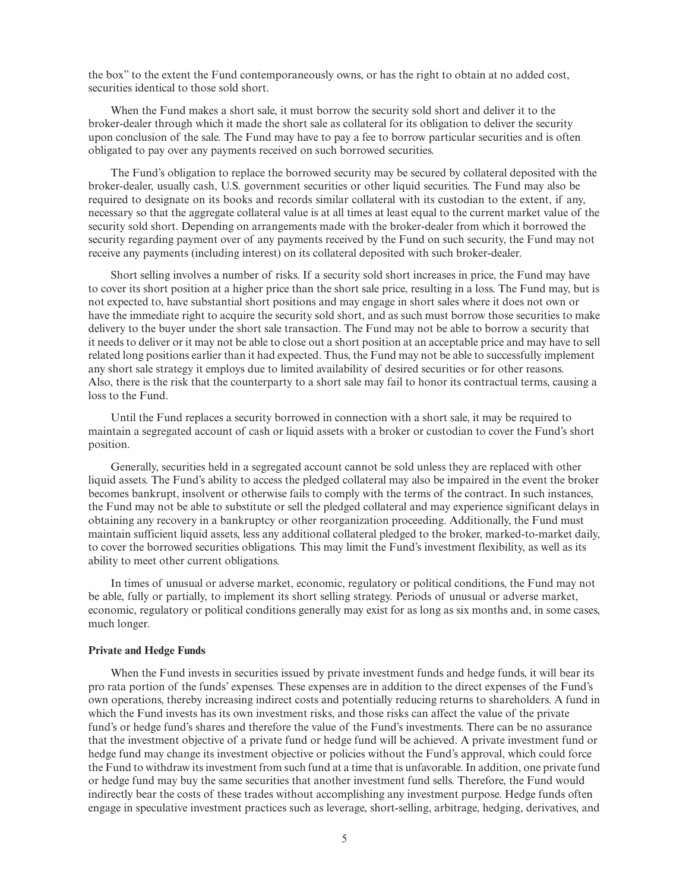the box" to the extent the Fund contemporaneously owns, or has the right to obtain at no added cost, securities identical to those sold short.

When the Fund makes a short sale, it must borrow the security sold short and deliver it to the broker-dealer through which it made the short sale as collateral for its obligation to deliver the security upon conclusion of the sale. The Fund may have to pay a fee to borrow particular securities and is often obligated to pay over any payments received on such borrowed securities.

The Fund's obligation to replace the borrowed security may be secured by collateral deposited with the broker-dealer, usually cash, U.S. government securities or other liquid securities. The Fund may also be required to designate on its books and records similar collateral with its custodian to the extent, if any, necessary so that the aggregate collateral value is at all times at least equal to the current market value of the security sold short. Depending on arrangements made with the broker-dealer from which it borrowed the security regarding payment over of any payments received by the Fund on such security, the Fund may not receive any payments (including interest) on its collateral deposited with such broker-dealer.

Short selling involves a number of risks. If a security sold short increases in price, the Fund may have to cover its short position at a higher price than the short sale price, resulting in a loss. The Fund may, but is not expected to, have substantial short positions and may engage in short sales where it does not own or have the immediate right to acquire the security sold short, and as such must borrow those securities to make delivery to the buyer under the short sale transaction. The Fund may not be able to borrow a security that it needs to deliver or it may not be able to close out a short position at an acceptable price and may have to sell related long positions earlier than it had expected. Thus, the Fund may not be able to successfully implement any short sale strategy it employs due to limited availability of desired securities or for other reasons. Also, there is the risk that the counterparty to a short sale may fail to honor its contractual terms, causing a loss to the Fund.

Until the Fund replaces a security borrowed in connection with a short sale, it may be required to maintain a segregated account of cash or liquid assets with a broker or custodian to cover the Fund's short position.

Generally, securities held in a segregated account cannot be sold unless they are replaced with other liquid assets. The Fund's ability to access the pledged collateral may also be impaired in the event the broker becomes bankrupt, insolvent or otherwise fails to comply with the terms of the contract. In such instances, the Fund may not be able to substitute or sell the pledged collateral and may experience significant delays in obtaining any recovery in a bankruptcy or other reorganization proceeding. Additionally, the Fund must maintain sufficient liquid assets, less any additional collateral pledged to the broker, marked-to-market daily, to cover the borrowed securities obligations. This may limit the Fund's investment flexibility, as well as its ability to meet other current obligations.

In times of unusual or adverse market, economic, regulatory or political conditions, the Fund may not be able, fully or partially, to implement its short selling strategy. Periods of unusual or adverse market, economic, regulatory or political conditions generally may exist for as long as six months and, in some cases, much longer.

#### **Private and Hedge Funds**

When the Fund invests in securities issued by private investment funds and hedge funds, it will bear its pro rata portion of the funds' expenses. These expenses are in addition to the direct expenses of the Fund's own operations, thereby increasing indirect costs and potentially reducing returns to shareholders. A fund in which the Fund invests has its own investment risks, and those risks can affect the value of the private fund's or hedge fund's shares and therefore the value of the Fund's investments. There can be no assurance that the investment objective of a private fund or hedge fund will be achieved. A private investment fund or hedge fund may change its investment objective or policies without the Fund's approval, which could force the Fund to withdraw its investment from such fund at a time that is unfavorable. In addition, one private fund or hedge fund may buy the same securities that another investment fund sells. Therefore, the Fund would indirectly bear the costs of these trades without accomplishing any investment purpose. Hedge funds often engage in speculative investment practices such as leverage, short-selling, arbitrage, hedging, derivatives, and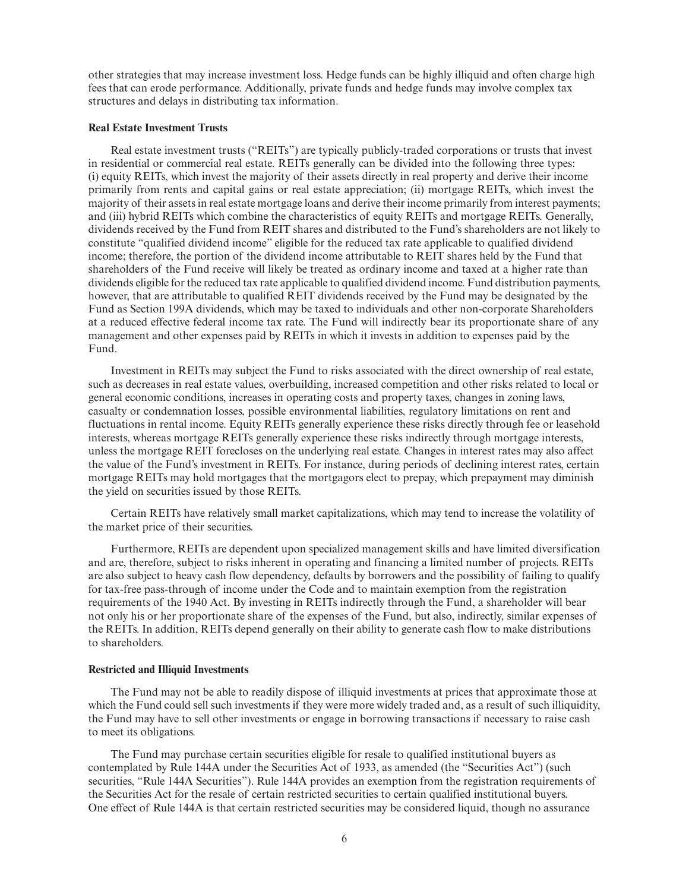other strategies that may increase investment loss. Hedge funds can be highly illiquid and often charge high fees that can erode performance. Additionally, private funds and hedge funds may involve complex tax structures and delays in distributing tax information.

#### **Real Estate Investment Trusts**

Real estate investment trusts ("REITs") are typically publicly-traded corporations or trusts that invest in residential or commercial real estate. REITs generally can be divided into the following three types: (i) equity REITs, which invest the majority of their assets directly in real property and derive their income primarily from rents and capital gains or real estate appreciation; (ii) mortgage REITs, which invest the majority of their assets in real estate mortgage loans and derive their income primarily from interest payments; and (iii) hybrid REITs which combine the characteristics of equity REITs and mortgage REITs. Generally, dividends received by the Fund from REIT shares and distributed to the Fund's shareholders are not likely to constitute "qualified dividend income" eligible for the reduced tax rate applicable to qualified dividend income; therefore, the portion of the dividend income attributable to REIT shares held by the Fund that shareholders of the Fund receive will likely be treated as ordinary income and taxed at a higher rate than dividends eligible for the reduced tax rate applicable to qualified dividend income. Fund distribution payments, however, that are attributable to qualified REIT dividends received by the Fund may be designated by the Fund as Section 199A dividends, which may be taxed to individuals and other non-corporate Shareholders at a reduced effective federal income tax rate. The Fund will indirectly bear its proportionate share of any management and other expenses paid by REITs in which it invests in addition to expenses paid by the Fund.

Investment in REITs may subject the Fund to risks associated with the direct ownership of real estate, such as decreases in real estate values, overbuilding, increased competition and other risks related to local or general economic conditions, increases in operating costs and property taxes, changes in zoning laws, casualty or condemnation losses, possible environmental liabilities, regulatory limitations on rent and fluctuations in rental income. Equity REITs generally experience these risks directly through fee or leasehold interests, whereas mortgage REITs generally experience these risks indirectly through mortgage interests, unless the mortgage REIT forecloses on the underlying real estate. Changes in interest rates may also affect the value of the Fund's investment in REITs. For instance, during periods of declining interest rates, certain mortgage REITs may hold mortgages that the mortgagors elect to prepay, which prepayment may diminish the yield on securities issued by those REITs.

Certain REITs have relatively small market capitalizations, which may tend to increase the volatility of the market price of their securities.

Furthermore, REITs are dependent upon specialized management skills and have limited diversification and are, therefore, subject to risks inherent in operating and financing a limited number of projects. REITs are also subject to heavy cash flow dependency, defaults by borrowers and the possibility of failing to qualify for tax-free pass-through of income under the Code and to maintain exemption from the registration requirements of the 1940 Act. By investing in REITs indirectly through the Fund, a shareholder will bear not only his or her proportionate share of the expenses of the Fund, but also, indirectly, similar expenses of the REITs. In addition, REITs depend generally on their ability to generate cash flow to make distributions to shareholders.

## **Restricted and Illiquid Investments**

The Fund may not be able to readily dispose of illiquid investments at prices that approximate those at which the Fund could sell such investments if they were more widely traded and, as a result of such illiquidity, the Fund may have to sell other investments or engage in borrowing transactions if necessary to raise cash to meet its obligations.

The Fund may purchase certain securities eligible for resale to qualified institutional buyers as contemplated by Rule 144A under the Securities Act of 1933, as amended (the "Securities Act") (such securities, "Rule 144A Securities"). Rule 144A provides an exemption from the registration requirements of the Securities Act for the resale of certain restricted securities to certain qualified institutional buyers. One effect of Rule 144A is that certain restricted securities may be considered liquid, though no assurance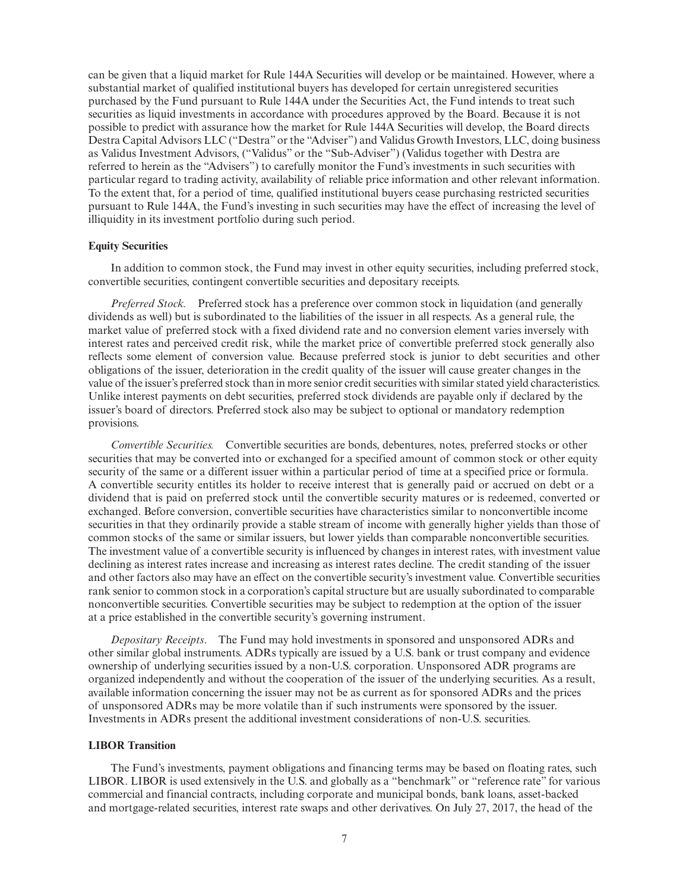can be given that a liquid market for Rule 144A Securities will develop or be maintained. However, where a substantial market of qualified institutional buyers has developed for certain unregistered securities purchased by the Fund pursuant to Rule 144A under the Securities Act, the Fund intends to treat such securities as liquid investments in accordance with procedures approved by the Board. Because it is not possible to predict with assurance how the market for Rule 144A Securities will develop, the Board directs Destra Capital Advisors LLC ("Destra" or the "Adviser") and Validus Growth Investors, LLC, doing business as Validus Investment Advisors, ("Validus" or the "Sub-Adviser") (Validus together with Destra are referred to herein as the "Advisers") to carefully monitor the Fund's investments in such securities with particular regard to trading activity, availability of reliable price information and other relevant information. To the extent that, for a period of time, qualified institutional buyers cease purchasing restricted securities pursuant to Rule 144A, the Fund's investing in such securities may have the effect of increasing the level of illiquidity in its investment portfolio during such period.

#### **Equity Securities**

In addition to common stock, the Fund may invest in other equity securities, including preferred stock, convertible securities, contingent convertible securities and depositary receipts.

*Preferred Stock.* Preferred stock has a preference over common stock in liquidation (and generally dividends as well) but is subordinated to the liabilities of the issuer in all respects. As a general rule, the market value of preferred stock with a fixed dividend rate and no conversion element varies inversely with interest rates and perceived credit risk, while the market price of convertible preferred stock generally also reflects some element of conversion value. Because preferred stock is junior to debt securities and other obligations of the issuer, deterioration in the credit quality of the issuer will cause greater changes in the value of the issuer's preferred stock than in more senior credit securities with similar stated yield characteristics. Unlike interest payments on debt securities, preferred stock dividends are payable only if declared by the issuer's board of directors. Preferred stock also may be subject to optional or mandatory redemption provisions.

*Convertible Securities.* Convertible securities are bonds, debentures, notes, preferred stocks or other securities that may be converted into or exchanged for a specified amount of common stock or other equity security of the same or a different issuer within a particular period of time at a specified price or formula. A convertible security entitles its holder to receive interest that is generally paid or accrued on debt or a dividend that is paid on preferred stock until the convertible security matures or is redeemed, converted or exchanged. Before conversion, convertible securities have characteristics similar to nonconvertible income securities in that they ordinarily provide a stable stream of income with generally higher yields than those of common stocks of the same or similar issuers, but lower yields than comparable nonconvertible securities. The investment value of a convertible security is influenced by changes in interest rates, with investment value declining as interest rates increase and increasing as interest rates decline. The credit standing of the issuer and other factors also may have an effect on the convertible security's investment value. Convertible securities rank senior to common stock in a corporation's capital structure but are usually subordinated to comparable nonconvertible securities. Convertible securities may be subject to redemption at the option of the issuer at a price established in the convertible security's governing instrument.

*Depositary Receipts*. The Fund may hold investments in sponsored and unsponsored ADRs and other similar global instruments. ADRs typically are issued by a U.S. bank or trust company and evidence ownership of underlying securities issued by a non-U.S. corporation. Unsponsored ADR programs are organized independently and without the cooperation of the issuer of the underlying securities. As a result, available information concerning the issuer may not be as current as for sponsored ADRs and the prices of unsponsored ADRs may be more volatile than if such instruments were sponsored by the issuer. Investments in ADRs present the additional investment considerations of non-U.S. securities.

#### **LIBOR Transition**

The Fund's investments, payment obligations and financing terms may be based on floating rates, such LIBOR. LIBOR is used extensively in the U.S. and globally as a "benchmark" or "reference rate" for various commercial and financial contracts, including corporate and municipal bonds, bank loans, asset-backed and mortgage-related securities, interest rate swaps and other derivatives. On July 27, 2017, the head of the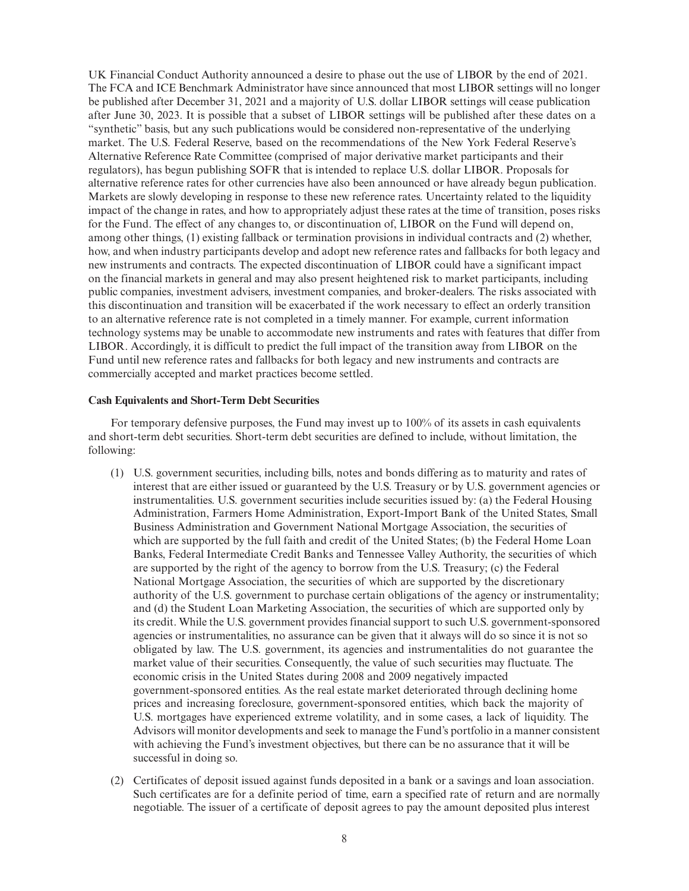UK Financial Conduct Authority announced a desire to phase out the use of LIBOR by the end of 2021. The FCA and ICE Benchmark Administrator have since announced that most LIBOR settings will no longer be published after December 31, 2021 and a majority of U.S. dollar LIBOR settings will cease publication after June 30, 2023. It is possible that a subset of LIBOR settings will be published after these dates on a "synthetic" basis, but any such publications would be considered non-representative of the underlying market. The U.S. Federal Reserve, based on the recommendations of the New York Federal Reserve's Alternative Reference Rate Committee (comprised of major derivative market participants and their regulators), has begun publishing SOFR that is intended to replace U.S. dollar LIBOR. Proposals for alternative reference rates for other currencies have also been announced or have already begun publication. Markets are slowly developing in response to these new reference rates. Uncertainty related to the liquidity impact of the change in rates, and how to appropriately adjust these rates at the time of transition, poses risks for the Fund. The effect of any changes to, or discontinuation of, LIBOR on the Fund will depend on, among other things, (1) existing fallback or termination provisions in individual contracts and (2) whether, how, and when industry participants develop and adopt new reference rates and fallbacks for both legacy and new instruments and contracts. The expected discontinuation of LIBOR could have a significant impact on the financial markets in general and may also present heightened risk to market participants, including public companies, investment advisers, investment companies, and broker-dealers. The risks associated with this discontinuation and transition will be exacerbated if the work necessary to effect an orderly transition to an alternative reference rate is not completed in a timely manner. For example, current information technology systems may be unable to accommodate new instruments and rates with features that differ from LIBOR. Accordingly, it is difficult to predict the full impact of the transition away from LIBOR on the Fund until new reference rates and fallbacks for both legacy and new instruments and contracts are commercially accepted and market practices become settled.

#### **Cash Equivalents and Short-Term Debt Securities**

For temporary defensive purposes, the Fund may invest up to 100% of its assets in cash equivalents and short-term debt securities. Short-term debt securities are defined to include, without limitation, the following:

- (1) U.S. government securities, including bills, notes and bonds differing as to maturity and rates of interest that are either issued or guaranteed by the U.S. Treasury or by U.S. government agencies or instrumentalities. U.S. government securities include securities issued by: (a) the Federal Housing Administration, Farmers Home Administration, Export-Import Bank of the United States, Small Business Administration and Government National Mortgage Association, the securities of which are supported by the full faith and credit of the United States; (b) the Federal Home Loan Banks, Federal Intermediate Credit Banks and Tennessee Valley Authority, the securities of which are supported by the right of the agency to borrow from the U.S. Treasury; (c) the Federal National Mortgage Association, the securities of which are supported by the discretionary authority of the U.S. government to purchase certain obligations of the agency or instrumentality; and (d) the Student Loan Marketing Association, the securities of which are supported only by its credit. While the U.S. government provides financial support to such U.S. government-sponsored agencies or instrumentalities, no assurance can be given that it always will do so since it is not so obligated by law. The U.S. government, its agencies and instrumentalities do not guarantee the market value of their securities. Consequently, the value of such securities may fluctuate. The economic crisis in the United States during 2008 and 2009 negatively impacted government-sponsored entities. As the real estate market deteriorated through declining home prices and increasing foreclosure, government-sponsored entities, which back the majority of U.S. mortgages have experienced extreme volatility, and in some cases, a lack of liquidity. The Advisors will monitor developments and seek to manage the Fund's portfolio in a manner consistent with achieving the Fund's investment objectives, but there can be no assurance that it will be successful in doing so.
- (2) Certificates of deposit issued against funds deposited in a bank or a savings and loan association. Such certificates are for a definite period of time, earn a specified rate of return and are normally negotiable. The issuer of a certificate of deposit agrees to pay the amount deposited plus interest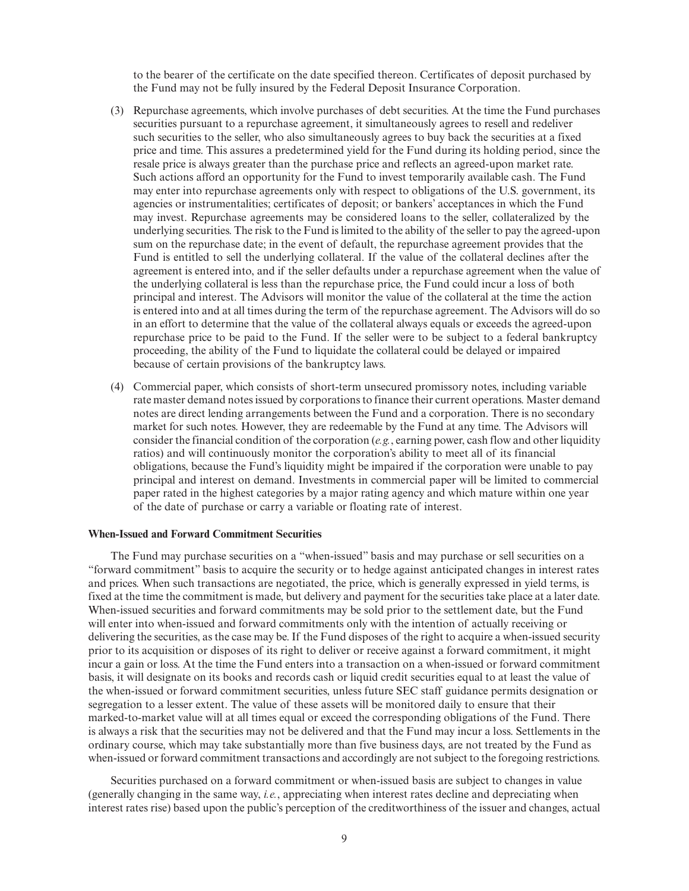to the bearer of the certificate on the date specified thereon. Certificates of deposit purchased by the Fund may not be fully insured by the Federal Deposit Insurance Corporation.

- (3) Repurchase agreements, which involve purchases of debt securities. At the time the Fund purchases securities pursuant to a repurchase agreement, it simultaneously agrees to resell and redeliver such securities to the seller, who also simultaneously agrees to buy back the securities at a fixed price and time. This assures a predetermined yield for the Fund during its holding period, since the resale price is always greater than the purchase price and reflects an agreed-upon market rate. Such actions afford an opportunity for the Fund to invest temporarily available cash. The Fund may enter into repurchase agreements only with respect to obligations of the U.S. government, its agencies or instrumentalities; certificates of deposit; or bankers' acceptances in which the Fund may invest. Repurchase agreements may be considered loans to the seller, collateralized by the underlying securities. The risk to the Fund is limited to the ability of the seller to pay the agreed-upon sum on the repurchase date; in the event of default, the repurchase agreement provides that the Fund is entitled to sell the underlying collateral. If the value of the collateral declines after the agreement is entered into, and if the seller defaults under a repurchase agreement when the value of the underlying collateral is less than the repurchase price, the Fund could incur a loss of both principal and interest. The Advisors will monitor the value of the collateral at the time the action is entered into and at all times during the term of the repurchase agreement. The Advisors will do so in an effort to determine that the value of the collateral always equals or exceeds the agreed-upon repurchase price to be paid to the Fund. If the seller were to be subject to a federal bankruptcy proceeding, the ability of the Fund to liquidate the collateral could be delayed or impaired because of certain provisions of the bankruptcy laws.
- (4) Commercial paper, which consists of short-term unsecured promissory notes, including variable rate master demand notes issued by corporations to finance their current operations. Master demand notes are direct lending arrangements between the Fund and a corporation. There is no secondary market for such notes. However, they are redeemable by the Fund at any time. The Advisors will consider the financial condition of the corporation (*e.g.*, earning power, cash flow and other liquidity ratios) and will continuously monitor the corporation's ability to meet all of its financial obligations, because the Fund's liquidity might be impaired if the corporation were unable to pay principal and interest on demand. Investments in commercial paper will be limited to commercial paper rated in the highest categories by a major rating agency and which mature within one year of the date of purchase or carry a variable or floating rate of interest.

## **When-Issued and Forward Commitment Securities**

The Fund may purchase securities on a "when-issued" basis and may purchase or sell securities on a "forward commitment" basis to acquire the security or to hedge against anticipated changes in interest rates and prices. When such transactions are negotiated, the price, which is generally expressed in yield terms, is fixed at the time the commitment is made, but delivery and payment for the securities take place at a later date. When-issued securities and forward commitments may be sold prior to the settlement date, but the Fund will enter into when-issued and forward commitments only with the intention of actually receiving or delivering the securities, as the case may be. If the Fund disposes of the right to acquire a when-issued security prior to its acquisition or disposes of its right to deliver or receive against a forward commitment, it might incur a gain or loss. At the time the Fund enters into a transaction on a when-issued or forward commitment basis, it will designate on its books and records cash or liquid credit securities equal to at least the value of the when-issued or forward commitment securities, unless future SEC staff guidance permits designation or segregation to a lesser extent. The value of these assets will be monitored daily to ensure that their marked-to-market value will at all times equal or exceed the corresponding obligations of the Fund. There is always a risk that the securities may not be delivered and that the Fund may incur a loss. Settlements in the ordinary course, which may take substantially more than five business days, are not treated by the Fund as when-issued or forward commitment transactions and accordingly are not subject to the foregoing restrictions.

Securities purchased on a forward commitment or when-issued basis are subject to changes in value (generally changing in the same way, *i.e.*, appreciating when interest rates decline and depreciating when interest rates rise) based upon the public's perception of the creditworthiness of the issuer and changes, actual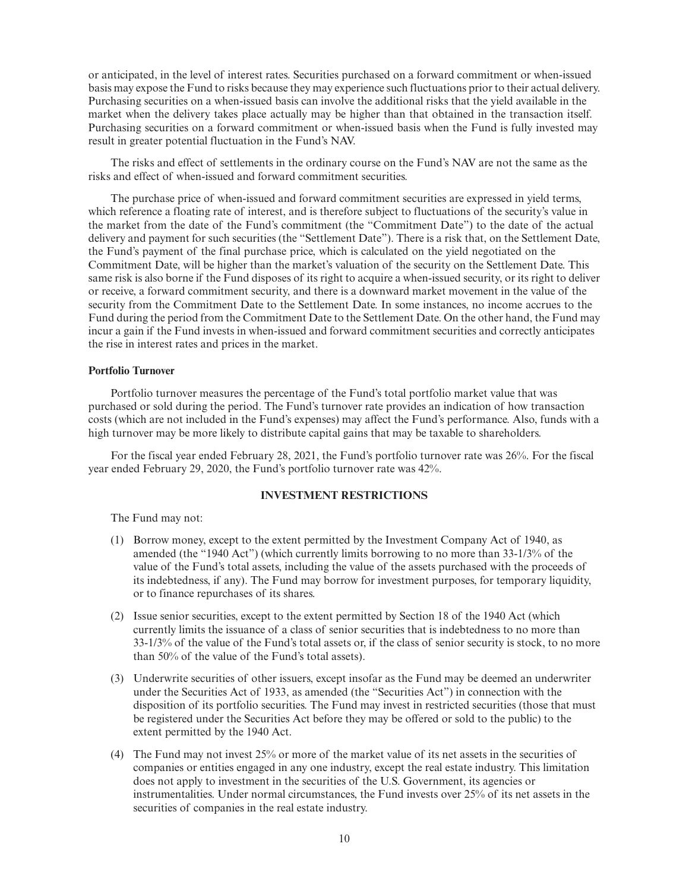or anticipated, in the level of interest rates. Securities purchased on a forward commitment or when-issued basis may expose the Fund to risks because they may experience such fluctuations prior to their actual delivery. Purchasing securities on a when-issued basis can involve the additional risks that the yield available in the market when the delivery takes place actually may be higher than that obtained in the transaction itself. Purchasing securities on a forward commitment or when-issued basis when the Fund is fully invested may result in greater potential fluctuation in the Fund's NAV.

The risks and effect of settlements in the ordinary course on the Fund's NAV are not the same as the risks and effect of when-issued and forward commitment securities.

The purchase price of when-issued and forward commitment securities are expressed in yield terms, which reference a floating rate of interest, and is therefore subject to fluctuations of the security's value in the market from the date of the Fund's commitment (the "Commitment Date") to the date of the actual delivery and payment for such securities (the "Settlement Date"). There is a risk that, on the Settlement Date, the Fund's payment of the final purchase price, which is calculated on the yield negotiated on the Commitment Date, will be higher than the market's valuation of the security on the Settlement Date. This same risk is also borne if the Fund disposes of its right to acquire a when-issued security, or its right to deliver or receive, a forward commitment security, and there is a downward market movement in the value of the security from the Commitment Date to the Settlement Date. In some instances, no income accrues to the Fund during the period from the Commitment Date to the Settlement Date. On the other hand, the Fund may incur a gain if the Fund invests in when-issued and forward commitment securities and correctly anticipates the rise in interest rates and prices in the market.

## **Portfolio Turnover**

Portfolio turnover measures the percentage of the Fund's total portfolio market value that was purchased or sold during the period. The Fund's turnover rate provides an indication of how transaction costs (which are not included in the Fund's expenses) may affect the Fund's performance. Also, funds with a high turnover may be more likely to distribute capital gains that may be taxable to shareholders.

For the fiscal year ended February 28, 2021, the Fund's portfolio turnover rate was 26%. For the fiscal year ended February 29, 2020, the Fund's portfolio turnover rate was 42%.

## **INVESTMENT RESTRICTIONS**

The Fund may not:

- (1) Borrow money, except to the extent permitted by the Investment Company Act of 1940, as amended (the "1940 Act") (which currently limits borrowing to no more than 33-1/3% of the value of the Fund's total assets, including the value of the assets purchased with the proceeds of its indebtedness, if any). The Fund may borrow for investment purposes, for temporary liquidity, or to finance repurchases of its shares.
- (2) Issue senior securities, except to the extent permitted by Section 18 of the 1940 Act (which currently limits the issuance of a class of senior securities that is indebtedness to no more than 33-1/3% of the value of the Fund's total assets or, if the class of senior security is stock, to no more than 50% of the value of the Fund's total assets).
- (3) Underwrite securities of other issuers, except insofar as the Fund may be deemed an underwriter under the Securities Act of 1933, as amended (the "Securities Act") in connection with the disposition of its portfolio securities. The Fund may invest in restricted securities (those that must be registered under the Securities Act before they may be offered or sold to the public) to the extent permitted by the 1940 Act.
- (4) The Fund may not invest 25% or more of the market value of its net assets in the securities of companies or entities engaged in any one industry, except the real estate industry. This limitation does not apply to investment in the securities of the U.S. Government, its agencies or instrumentalities. Under normal circumstances, the Fund invests over 25% of its net assets in the securities of companies in the real estate industry.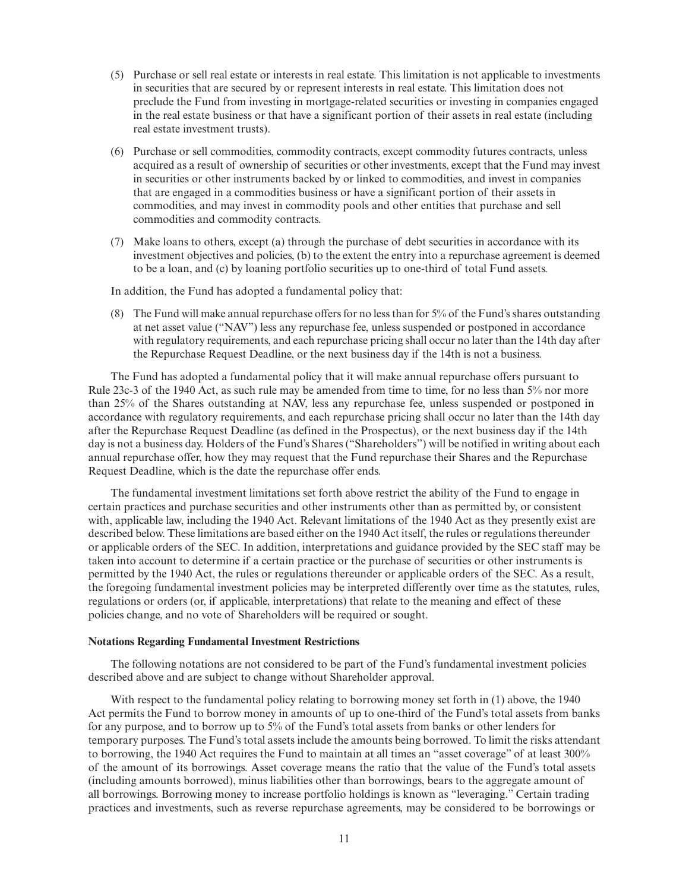- (5) Purchase or sell real estate or interests in real estate. This limitation is not applicable to investments in securities that are secured by or represent interests in real estate. This limitation does not preclude the Fund from investing in mortgage-related securities or investing in companies engaged in the real estate business or that have a significant portion of their assets in real estate (including real estate investment trusts).
- (6) Purchase or sell commodities, commodity contracts, except commodity futures contracts, unless acquired as a result of ownership of securities or other investments, except that the Fund may invest in securities or other instruments backed by or linked to commodities, and invest in companies that are engaged in a commodities business or have a significant portion of their assets in commodities, and may invest in commodity pools and other entities that purchase and sell commodities and commodity contracts.
- (7) Make loans to others, except (a) through the purchase of debt securities in accordance with its investment objectives and policies, (b) to the extent the entry into a repurchase agreement is deemed to be a loan, and (c) by loaning portfolio securities up to one-third of total Fund assets.

In addition, the Fund has adopted a fundamental policy that:

(8) The Fund will make annual repurchase offers for no less than for 5% of the Fund's shares outstanding at net asset value ("NAV") less any repurchase fee, unless suspended or postponed in accordance with regulatory requirements, and each repurchase pricing shall occur no later than the 14th day after the Repurchase Request Deadline, or the next business day if the 14th is not a business.

The Fund has adopted a fundamental policy that it will make annual repurchase offers pursuant to Rule 23c-3 of the 1940 Act, as such rule may be amended from time to time, for no less than 5% nor more than 25% of the Shares outstanding at NAV, less any repurchase fee, unless suspended or postponed in accordance with regulatory requirements, and each repurchase pricing shall occur no later than the 14th day after the Repurchase Request Deadline (as defined in the Prospectus), or the next business day if the 14th day is not a business day. Holders of the Fund's Shares ("Shareholders") will be notified in writing about each annual repurchase offer, how they may request that the Fund repurchase their Shares and the Repurchase Request Deadline, which is the date the repurchase offer ends.

The fundamental investment limitations set forth above restrict the ability of the Fund to engage in certain practices and purchase securities and other instruments other than as permitted by, or consistent with, applicable law, including the 1940 Act. Relevant limitations of the 1940 Act as they presently exist are described below. These limitations are based either on the 1940 Act itself, the rules or regulations thereunder or applicable orders of the SEC. In addition, interpretations and guidance provided by the SEC staff may be taken into account to determine if a certain practice or the purchase of securities or other instruments is permitted by the 1940 Act, the rules or regulations thereunder or applicable orders of the SEC. As a result, the foregoing fundamental investment policies may be interpreted differently over time as the statutes, rules, regulations or orders (or, if applicable, interpretations) that relate to the meaning and effect of these policies change, and no vote of Shareholders will be required or sought.

#### **Notations Regarding Fundamental Investment Restrictions**

The following notations are not considered to be part of the Fund's fundamental investment policies described above and are subject to change without Shareholder approval.

With respect to the fundamental policy relating to borrowing money set forth in (1) above, the 1940 Act permits the Fund to borrow money in amounts of up to one-third of the Fund's total assets from banks for any purpose, and to borrow up to 5% of the Fund's total assets from banks or other lenders for temporary purposes. The Fund's total assets include the amounts being borrowed. To limit the risks attendant to borrowing, the 1940 Act requires the Fund to maintain at all times an "asset coverage" of at least 300% of the amount of its borrowings. Asset coverage means the ratio that the value of the Fund's total assets (including amounts borrowed), minus liabilities other than borrowings, bears to the aggregate amount of all borrowings. Borrowing money to increase portfolio holdings is known as "leveraging." Certain trading practices and investments, such as reverse repurchase agreements, may be considered to be borrowings or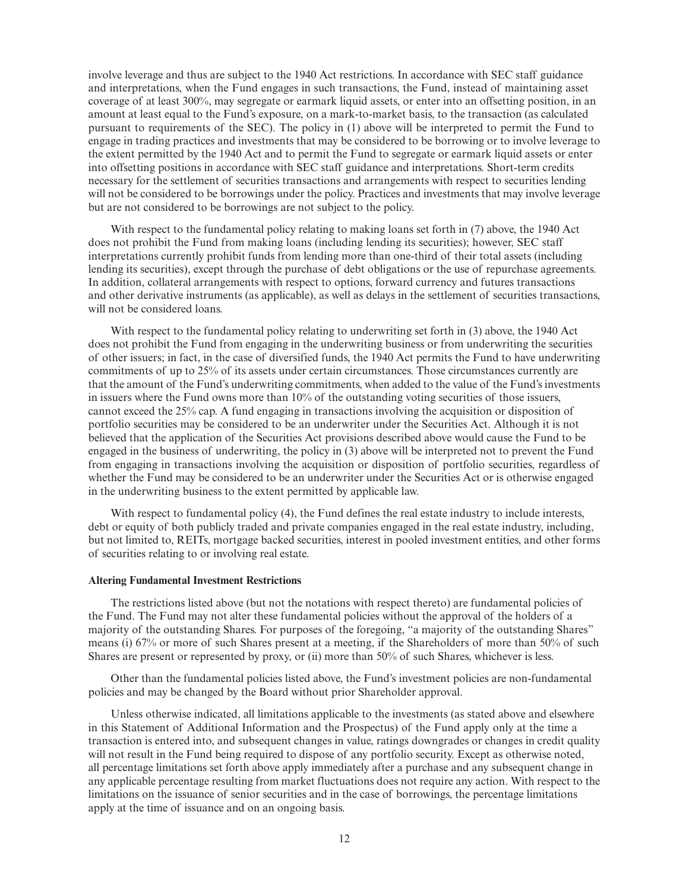involve leverage and thus are subject to the 1940 Act restrictions. In accordance with SEC staff guidance and interpretations, when the Fund engages in such transactions, the Fund, instead of maintaining asset coverage of at least 300%, may segregate or earmark liquid assets, or enter into an offsetting position, in an amount at least equal to the Fund's exposure, on a mark-to-market basis, to the transaction (as calculated pursuant to requirements of the SEC). The policy in (1) above will be interpreted to permit the Fund to engage in trading practices and investments that may be considered to be borrowing or to involve leverage to the extent permitted by the 1940 Act and to permit the Fund to segregate or earmark liquid assets or enter into offsetting positions in accordance with SEC staff guidance and interpretations. Short-term credits necessary for the settlement of securities transactions and arrangements with respect to securities lending will not be considered to be borrowings under the policy. Practices and investments that may involve leverage but are not considered to be borrowings are not subject to the policy.

With respect to the fundamental policy relating to making loans set forth in  $(7)$  above, the 1940 Act does not prohibit the Fund from making loans (including lending its securities); however, SEC staff interpretations currently prohibit funds from lending more than one-third of their total assets (including lending its securities), except through the purchase of debt obligations or the use of repurchase agreements. In addition, collateral arrangements with respect to options, forward currency and futures transactions and other derivative instruments (as applicable), as well as delays in the settlement of securities transactions, will not be considered loans.

With respect to the fundamental policy relating to underwriting set forth in  $(3)$  above, the 1940 Act does not prohibit the Fund from engaging in the underwriting business or from underwriting the securities of other issuers; in fact, in the case of diversified funds, the 1940 Act permits the Fund to have underwriting commitments of up to 25% of its assets under certain circumstances. Those circumstances currently are that the amount of the Fund's underwriting commitments, when added to the value of the Fund's investments in issuers where the Fund owns more than 10% of the outstanding voting securities of those issuers, cannot exceed the 25% cap. A fund engaging in transactions involving the acquisition or disposition of portfolio securities may be considered to be an underwriter under the Securities Act. Although it is not believed that the application of the Securities Act provisions described above would cause the Fund to be engaged in the business of underwriting, the policy in (3) above will be interpreted not to prevent the Fund from engaging in transactions involving the acquisition or disposition of portfolio securities, regardless of whether the Fund may be considered to be an underwriter under the Securities Act or is otherwise engaged in the underwriting business to the extent permitted by applicable law.

With respect to fundamental policy (4), the Fund defines the real estate industry to include interests, debt or equity of both publicly traded and private companies engaged in the real estate industry, including, but not limited to, REITs, mortgage backed securities, interest in pooled investment entities, and other forms of securities relating to or involving real estate.

#### **Altering Fundamental Investment Restrictions**

The restrictions listed above (but not the notations with respect thereto) are fundamental policies of the Fund. The Fund may not alter these fundamental policies without the approval of the holders of a majority of the outstanding Shares. For purposes of the foregoing, "a majority of the outstanding Shares" means (i) 67% or more of such Shares present at a meeting, if the Shareholders of more than 50% of such Shares are present or represented by proxy, or (ii) more than 50% of such Shares, whichever is less.

Other than the fundamental policies listed above, the Fund's investment policies are non-fundamental policies and may be changed by the Board without prior Shareholder approval.

Unless otherwise indicated, all limitations applicable to the investments (as stated above and elsewhere in this Statement of Additional Information and the Prospectus) of the Fund apply only at the time a transaction is entered into, and subsequent changes in value, ratings downgrades or changes in credit quality will not result in the Fund being required to dispose of any portfolio security. Except as otherwise noted, all percentage limitations set forth above apply immediately after a purchase and any subsequent change in any applicable percentage resulting from market fluctuations does not require any action. With respect to the limitations on the issuance of senior securities and in the case of borrowings, the percentage limitations apply at the time of issuance and on an ongoing basis.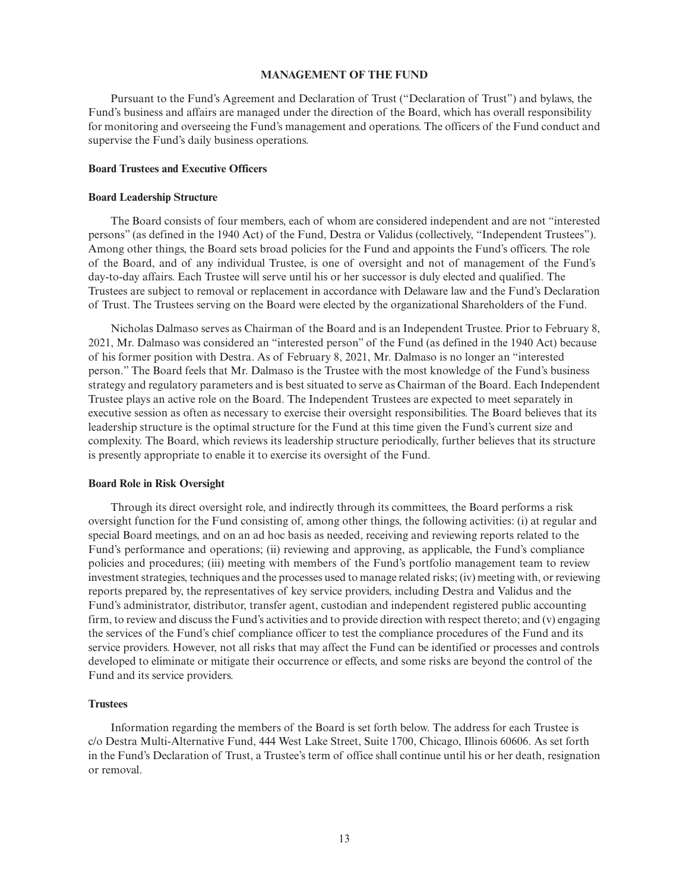## **MANAGEMENT OF THE FUND**

Pursuant to the Fund's Agreement and Declaration of Trust ("Declaration of Trust") and bylaws, the Fund's business and affairs are managed under the direction of the Board, which has overall responsibility for monitoring and overseeing the Fund's management and operations. The officers of the Fund conduct and supervise the Fund's daily business operations.

#### **Board Trustees and Executive Officers**

## **Board Leadership Structure**

The Board consists of four members, each of whom are considered independent and are not "interested persons" (as defined in the 1940 Act) of the Fund, Destra or Validus (collectively, "Independent Trustees"). Among other things, the Board sets broad policies for the Fund and appoints the Fund's officers. The role of the Board, and of any individual Trustee, is one of oversight and not of management of the Fund's day-to-day affairs. Each Trustee will serve until his or her successor is duly elected and qualified. The Trustees are subject to removal or replacement in accordance with Delaware law and the Fund's Declaration of Trust. The Trustees serving on the Board were elected by the organizational Shareholders of the Fund.

Nicholas Dalmaso serves as Chairman of the Board and is an Independent Trustee. Prior to February 8, 2021, Mr. Dalmaso was considered an "interested person" of the Fund (as defined in the 1940 Act) because of his former position with Destra. As of February 8, 2021, Mr. Dalmaso is no longer an "interested person." The Board feels that Mr. Dalmaso is the Trustee with the most knowledge of the Fund's business strategy and regulatory parameters and is best situated to serve as Chairman of the Board. Each Independent Trustee plays an active role on the Board. The Independent Trustees are expected to meet separately in executive session as often as necessary to exercise their oversight responsibilities. The Board believes that its leadership structure is the optimal structure for the Fund at this time given the Fund's current size and complexity. The Board, which reviews its leadership structure periodically, further believes that its structure is presently appropriate to enable it to exercise its oversight of the Fund.

#### **Board Role in Risk Oversight**

Through its direct oversight role, and indirectly through its committees, the Board performs a risk oversight function for the Fund consisting of, among other things, the following activities: (i) at regular and special Board meetings, and on an ad hoc basis as needed, receiving and reviewing reports related to the Fund's performance and operations; (ii) reviewing and approving, as applicable, the Fund's compliance policies and procedures; (iii) meeting with members of the Fund's portfolio management team to review investment strategies, techniques and the processes used to manage related risks; (iv) meeting with, or reviewing reports prepared by, the representatives of key service providers, including Destra and Validus and the Fund's administrator, distributor, transfer agent, custodian and independent registered public accounting firm, to review and discuss the Fund's activities and to provide direction with respect thereto; and (v) engaging the services of the Fund's chief compliance officer to test the compliance procedures of the Fund and its service providers. However, not all risks that may affect the Fund can be identified or processes and controls developed to eliminate or mitigate their occurrence or effects, and some risks are beyond the control of the Fund and its service providers.

#### **Trustees**

Information regarding the members of the Board is set forth below. The address for each Trustee is c/o Destra Multi-Alternative Fund, 444 West Lake Street, Suite 1700, Chicago, Illinois 60606. As set forth in the Fund's Declaration of Trust, a Trustee's term of office shall continue until his or her death, resignation or removal.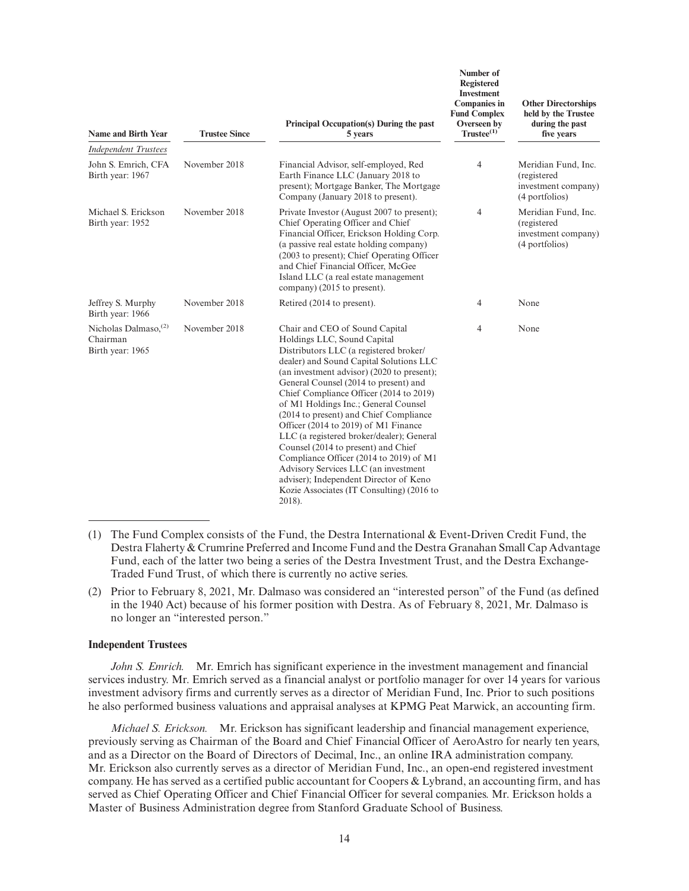| <b>Name and Birth Year</b><br><b>Independent Trustees</b> | <b>Trustee Since</b> | <b>Principal Occupation(s) During the past</b><br>5 years                                                                                                                                                                                                                                                                                                                                                                                                                                                                                                                                                                                                                              | ташиет от<br><b>Registered</b><br><b>Investment</b><br><b>Companies in</b><br><b>Fund Complex</b><br>Overseen by<br>$Trustee^{(1)}$ | <b>Other Directorships</b><br>held by the Trustee<br>during the past<br>five years |
|-----------------------------------------------------------|----------------------|----------------------------------------------------------------------------------------------------------------------------------------------------------------------------------------------------------------------------------------------------------------------------------------------------------------------------------------------------------------------------------------------------------------------------------------------------------------------------------------------------------------------------------------------------------------------------------------------------------------------------------------------------------------------------------------|-------------------------------------------------------------------------------------------------------------------------------------|------------------------------------------------------------------------------------|
| John S. Emrich, CFA                                       | November 2018        | Financial Advisor, self-employed, Red                                                                                                                                                                                                                                                                                                                                                                                                                                                                                                                                                                                                                                                  | $\overline{4}$                                                                                                                      | Meridian Fund, Inc.                                                                |
| Birth year: 1967                                          |                      | Earth Finance LLC (January 2018 to<br>present); Mortgage Banker, The Mortgage<br>Company (January 2018 to present).                                                                                                                                                                                                                                                                                                                                                                                                                                                                                                                                                                    |                                                                                                                                     | (registered<br>investment company)<br>(4 portfolios)                               |
| Michael S. Erickson<br>Birth year: 1952                   | November 2018        | Private Investor (August 2007 to present);<br>Chief Operating Officer and Chief<br>Financial Officer, Erickson Holding Corp.<br>(a passive real estate holding company)<br>(2003 to present); Chief Operating Officer<br>and Chief Financial Officer, McGee<br>Island LLC (a real estate management<br>company) (2015 to present).                                                                                                                                                                                                                                                                                                                                                     | 4                                                                                                                                   | Meridian Fund, Inc.<br>(registered<br>investment company)<br>(4 portfolios)        |
| Jeffrey S. Murphy<br>Birth year: 1966                     | November 2018        | Retired (2014 to present).                                                                                                                                                                                                                                                                                                                                                                                                                                                                                                                                                                                                                                                             | $\overline{4}$                                                                                                                      | None                                                                               |
| Nicholas Dalmaso, $(2)$<br>Chairman<br>Birth year: 1965   | November 2018        | Chair and CEO of Sound Capital<br>Holdings LLC, Sound Capital<br>Distributors LLC (a registered broker/<br>dealer) and Sound Capital Solutions LLC<br>(an investment advisor) (2020 to present);<br>General Counsel (2014 to present) and<br>Chief Compliance Officer (2014 to 2019)<br>of M1 Holdings Inc.; General Counsel<br>(2014 to present) and Chief Compliance<br>Officer (2014 to 2019) of M1 Finance<br>LLC (a registered broker/dealer); General<br>Counsel (2014 to present) and Chief<br>Compliance Officer (2014 to 2019) of M1<br>Advisory Services LLC (an investment<br>adviser); Independent Director of Keno<br>Kozie Associates (IT Consulting) (2016 to<br>2018). | $\overline{4}$                                                                                                                      | None                                                                               |

**Number of**

#### **Independent Trustees**

*John S. Emrich.* Mr. Emrich has significant experience in the investment management and financial services industry. Mr. Emrich served as a financial analyst or portfolio manager for over 14 years for various investment advisory firms and currently serves as a director of Meridian Fund, Inc. Prior to such positions he also performed business valuations and appraisal analyses at KPMG Peat Marwick, an accounting firm.

*Michael S. Erickson.* Mr. Erickson has significant leadership and financial management experience, previously serving as Chairman of the Board and Chief Financial Officer of AeroAstro for nearly ten years, and as a Director on the Board of Directors of Decimal, Inc., an online IRA administration company. Mr. Erickson also currently serves as a director of Meridian Fund, Inc., an open-end registered investment company. He has served as a certified public accountant for Coopers & Lybrand, an accounting firm, and has served as Chief Operating Officer and Chief Financial Officer for several companies. Mr. Erickson holds a Master of Business Administration degree from Stanford Graduate School of Business.

<sup>(1)</sup> The Fund Complex consists of the Fund, the Destra International  $\&$  Event-Driven Credit Fund, the Destra Flaherty & Crumrine Preferred and Income Fund and the Destra Granahan Small Cap Advantage Fund, each of the latter two being a series of the Destra Investment Trust, and the Destra Exchange-Traded Fund Trust, of which there is currently no active series.

<sup>(2)</sup> Prior to February 8, 2021, Mr. Dalmaso was considered an "interested person" of the Fund (as defined in the 1940 Act) because of his former position with Destra. As of February 8, 2021, Mr. Dalmaso is no longer an "interested person."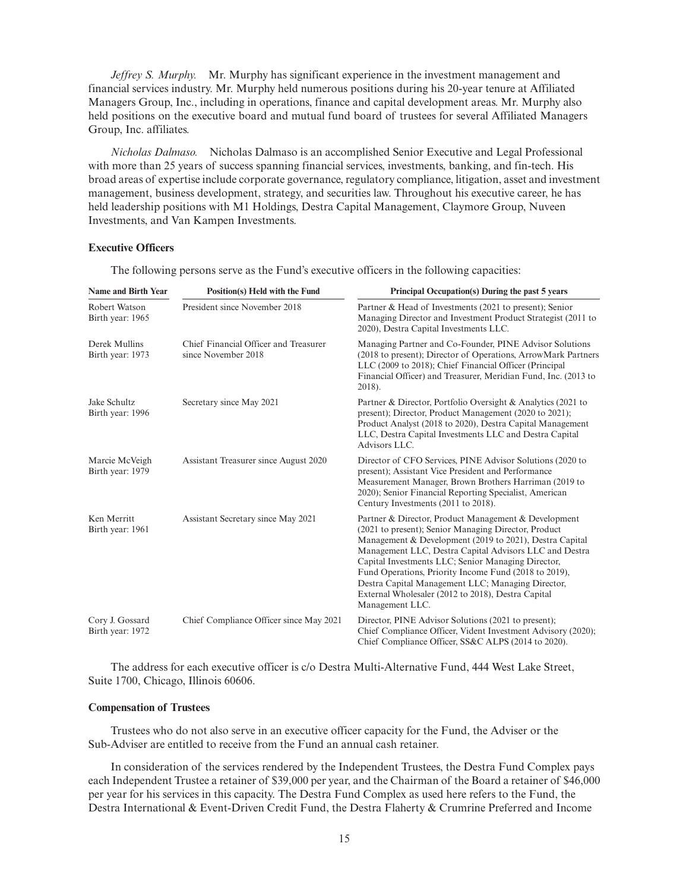*Jeffrey S. Murphy.* Mr. Murphy has significant experience in the investment management and financial services industry. Mr. Murphy held numerous positions during his 20-year tenure at Affiliated Managers Group, Inc., including in operations, finance and capital development areas. Mr. Murphy also held positions on the executive board and mutual fund board of trustees for several Affiliated Managers Group, Inc. affiliates.

*Nicholas Dalmaso.* Nicholas Dalmaso is an accomplished Senior Executive and Legal Professional with more than 25 years of success spanning financial services, investments, banking, and fin-tech. His broad areas of expertise include corporate governance, regulatory compliance, litigation, asset and investment management, business development, strategy, and securities law. Throughout his executive career, he has held leadership positions with M1 Holdings, Destra Capital Management, Claymore Group, Nuveen Investments, and Van Kampen Investments.

## **Executive Officers**

| <b>Name and Birth Year</b>          | Position(s) Held with the Fund                               | Principal Occupation(s) During the past 5 years                                                                                                                                                                                                                                                                                                                                                                                                                                |
|-------------------------------------|--------------------------------------------------------------|--------------------------------------------------------------------------------------------------------------------------------------------------------------------------------------------------------------------------------------------------------------------------------------------------------------------------------------------------------------------------------------------------------------------------------------------------------------------------------|
| Robert Watson<br>Birth year: 1965   | President since November 2018                                | Partner & Head of Investments (2021 to present); Senior<br>Managing Director and Investment Product Strategist (2011 to<br>2020), Destra Capital Investments LLC.                                                                                                                                                                                                                                                                                                              |
| Derek Mullins<br>Birth year: 1973   | Chief Financial Officer and Treasurer<br>since November 2018 | Managing Partner and Co-Founder, PINE Advisor Solutions<br>(2018 to present); Director of Operations, ArrowMark Partners<br>LLC (2009 to 2018); Chief Financial Officer (Principal<br>Financial Officer) and Treasurer, Meridian Fund, Inc. (2013 to<br>2018).                                                                                                                                                                                                                 |
| Jake Schultz<br>Birth year: 1996    | Secretary since May 2021                                     | Partner & Director, Portfolio Oversight & Analytics (2021 to<br>present); Director, Product Management (2020 to 2021);<br>Product Analyst (2018 to 2020), Destra Capital Management<br>LLC, Destra Capital Investments LLC and Destra Capital<br>Advisors LLC.                                                                                                                                                                                                                 |
| Marcie McVeigh<br>Birth year: 1979  | Assistant Treasurer since August 2020                        | Director of CFO Services, PINE Advisor Solutions (2020 to<br>present); Assistant Vice President and Performance<br>Measurement Manager, Brown Brothers Harriman (2019 to<br>2020); Senior Financial Reporting Specialist, American<br>Century Investments (2011 to 2018).                                                                                                                                                                                                      |
| Ken Merritt<br>Birth year: 1961     | Assistant Secretary since May 2021                           | Partner & Director, Product Management & Development<br>(2021 to present); Senior Managing Director, Product<br>Management & Development (2019 to 2021), Destra Capital<br>Management LLC, Destra Capital Advisors LLC and Destra<br>Capital Investments LLC; Senior Managing Director,<br>Fund Operations, Priority Income Fund (2018 to 2019),<br>Destra Capital Management LLC; Managing Director,<br>External Wholesaler (2012 to 2018), Destra Capital<br>Management LLC. |
| Cory J. Gossard<br>Birth year: 1972 | Chief Compliance Officer since May 2021                      | Director, PINE Advisor Solutions (2021 to present);<br>Chief Compliance Officer, Vident Investment Advisory (2020);<br>Chief Compliance Officer, SS&C ALPS (2014 to 2020).                                                                                                                                                                                                                                                                                                     |

The following persons serve as the Fund's executive officers in the following capacities:

The address for each executive officer is c/o Destra Multi-Alternative Fund, 444 West Lake Street, Suite 1700, Chicago, Illinois 60606.

## **Compensation of Trustees**

Trustees who do not also serve in an executive officer capacity for the Fund, the Adviser or the Sub-Adviser are entitled to receive from the Fund an annual cash retainer.

In consideration of the services rendered by the Independent Trustees, the Destra Fund Complex pays each Independent Trustee a retainer of \$39,000 per year, and the Chairman of the Board a retainer of \$46,000 per year for his services in this capacity. The Destra Fund Complex as used here refers to the Fund, the Destra International & Event-Driven Credit Fund, the Destra Flaherty & Crumrine Preferred and Income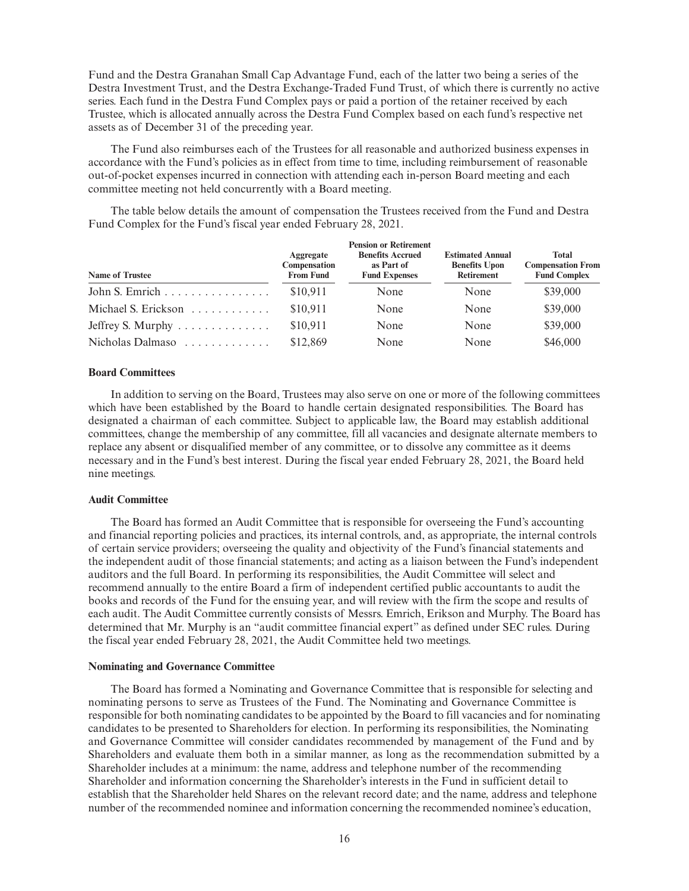Fund and the Destra Granahan Small Cap Advantage Fund, each of the latter two being a series of the Destra Investment Trust, and the Destra Exchange-Traded Fund Trust, of which there is currently no active series. Each fund in the Destra Fund Complex pays or paid a portion of the retainer received by each Trustee, which is allocated annually across the Destra Fund Complex based on each fund's respective net assets as of December 31 of the preceding year.

The Fund also reimburses each of the Trustees for all reasonable and authorized business expenses in accordance with the Fund's policies as in effect from time to time, including reimbursement of reasonable out-of-pocket expenses incurred in connection with attending each in-person Board meeting and each committee meeting not held concurrently with a Board meeting.

The table below details the amount of compensation the Trustees received from the Fund and Destra Fund Complex for the Fund's fiscal year ended February 28, 2021.

| <b>Name of Trustee</b>                      | <b>Pension or Retirement</b><br><b>Benefits Accrued</b><br>Aggregate<br>Compensation<br>as Part of<br><b>From Fund</b><br><b>Fund Expenses</b> |      | <b>Estimated Annual</b><br><b>Benefits Upon</b><br><b>Retirement</b> | <b>Total</b><br><b>Compensation From</b><br><b>Fund Complex</b> |
|---------------------------------------------|------------------------------------------------------------------------------------------------------------------------------------------------|------|----------------------------------------------------------------------|-----------------------------------------------------------------|
|                                             | \$10,911                                                                                                                                       | None | None                                                                 | \$39,000                                                        |
| Michael S. Erickson $\dots \dots \dots$     | \$10,911                                                                                                                                       | None | None                                                                 | \$39,000                                                        |
| Jeffrey S. Murphy $\dots \dots \dots \dots$ | \$10,911                                                                                                                                       | None | None                                                                 | \$39,000                                                        |
| Nicholas Dalmaso $\dots \dots \dots \dots$  | \$12,869                                                                                                                                       | None | None                                                                 | \$46,000                                                        |

## **Board Committees**

In addition to serving on the Board, Trustees may also serve on one or more of the following committees which have been established by the Board to handle certain designated responsibilities. The Board has designated a chairman of each committee. Subject to applicable law, the Board may establish additional committees, change the membership of any committee, fill all vacancies and designate alternate members to replace any absent or disqualified member of any committee, or to dissolve any committee as it deems necessary and in the Fund's best interest. During the fiscal year ended February 28, 2021, the Board held nine meetings.

#### **Audit Committee**

The Board has formed an Audit Committee that is responsible for overseeing the Fund's accounting and financial reporting policies and practices, its internal controls, and, as appropriate, the internal controls of certain service providers; overseeing the quality and objectivity of the Fund's financial statements and the independent audit of those financial statements; and acting as a liaison between the Fund's independent auditors and the full Board. In performing its responsibilities, the Audit Committee will select and recommend annually to the entire Board a firm of independent certified public accountants to audit the books and records of the Fund for the ensuing year, and will review with the firm the scope and results of each audit. The Audit Committee currently consists of Messrs. Emrich, Erikson and Murphy. The Board has determined that Mr. Murphy is an "audit committee financial expert" as defined under SEC rules. During the fiscal year ended February 28, 2021, the Audit Committee held two meetings.

#### **Nominating and Governance Committee**

The Board has formed a Nominating and Governance Committee that is responsible for selecting and nominating persons to serve as Trustees of the Fund. The Nominating and Governance Committee is responsible for both nominating candidates to be appointed by the Board to fill vacancies and for nominating candidates to be presented to Shareholders for election. In performing its responsibilities, the Nominating and Governance Committee will consider candidates recommended by management of the Fund and by Shareholders and evaluate them both in a similar manner, as long as the recommendation submitted by a Shareholder includes at a minimum: the name, address and telephone number of the recommending Shareholder and information concerning the Shareholder's interests in the Fund in sufficient detail to establish that the Shareholder held Shares on the relevant record date; and the name, address and telephone number of the recommended nominee and information concerning the recommended nominee's education,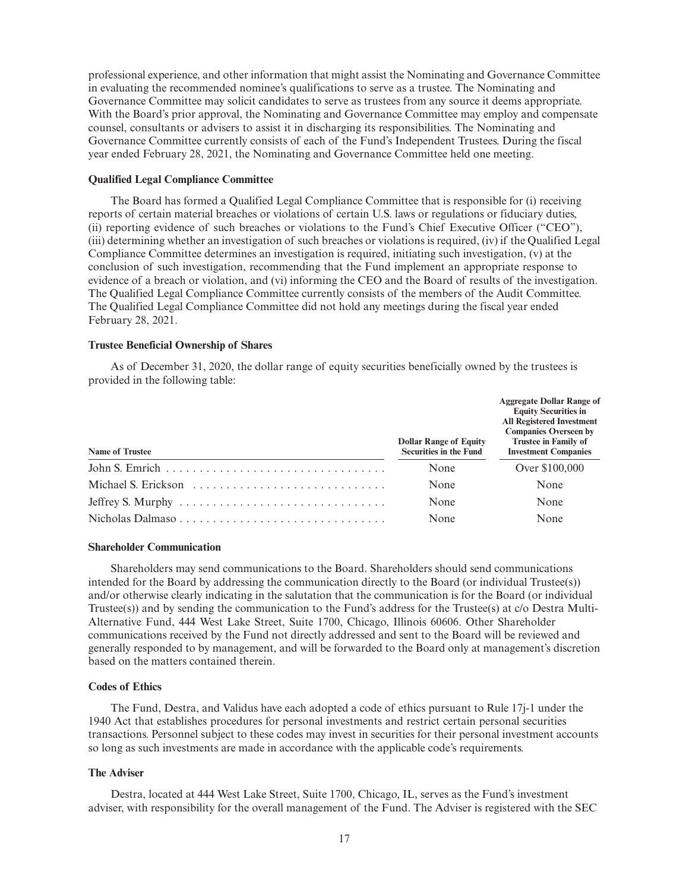professional experience, and other information that might assist the Nominating and Governance Committee in evaluating the recommended nominee's qualifications to serve as a trustee. The Nominating and Governance Committee may solicit candidates to serve as trustees from any source it deems appropriate. With the Board's prior approval, the Nominating and Governance Committee may employ and compensate counsel, consultants or advisers to assist it in discharging its responsibilities. The Nominating and Governance Committee currently consists of each of the Fund's Independent Trustees. During the fiscal year ended February 28, 2021, the Nominating and Governance Committee held one meeting.

## **Qualified Legal Compliance Committee**

The Board has formed a Qualified Legal Compliance Committee that is responsible for (i) receiving reports of certain material breaches or violations of certain U.S. laws or regulations or fiduciary duties, (ii) reporting evidence of such breaches or violations to the Fund's Chief Executive Officer ("CEO"), (iii) determining whether an investigation of such breaches or violations is required, (iv) if the Qualified Legal Compliance Committee determines an investigation is required, initiating such investigation, (v) at the conclusion of such investigation, recommending that the Fund implement an appropriate response to evidence of a breach or violation, and (vi) informing the CEO and the Board of results of the investigation. The Qualified Legal Compliance Committee currently consists of the members of the Audit Committee. The Qualified Legal Compliance Committee did not hold any meetings during the fiscal year ended February 28, 2021.

## **Trustee Beneficial Ownership of Shares**

As of December 31, 2020, the dollar range of equity securities beneficially owned by the trustees is provided in the following table:

| <b>Name of Trustee</b>                                                                | <b>Dollar Range of Equity</b><br><b>Securities in the Fund</b> | <b>Aggregate Dollar Range of</b><br><b>Equity Securities in</b><br><b>All Registered Investment</b><br><b>Companies Overseen by</b><br><b>Trustee in Family of</b><br><b>Investment Companies</b> |
|---------------------------------------------------------------------------------------|----------------------------------------------------------------|---------------------------------------------------------------------------------------------------------------------------------------------------------------------------------------------------|
|                                                                                       | None                                                           | Over \$100,000                                                                                                                                                                                    |
|                                                                                       | None                                                           | None                                                                                                                                                                                              |
| Jeffrey S. Murphy $\dots \dots \dots \dots \dots \dots \dots \dots \dots \dots \dots$ | None                                                           | None                                                                                                                                                                                              |
| Nicholas Dalmaso                                                                      | None                                                           | None                                                                                                                                                                                              |

#### **Shareholder Communication**

Shareholders may send communications to the Board. Shareholders should send communications intended for the Board by addressing the communication directly to the Board (or individual Trustee(s)) and/or otherwise clearly indicating in the salutation that the communication is for the Board (or individual Trustee(s)) and by sending the communication to the Fund's address for the Trustee(s) at c/o Destra Multi-Alternative Fund, 444 West Lake Street, Suite 1700, Chicago, Illinois 60606. Other Shareholder communications received by the Fund not directly addressed and sent to the Board will be reviewed and generally responded to by management, and will be forwarded to the Board only at management's discretion based on the matters contained therein.

#### **Codes of Ethics**

The Fund, Destra, and Validus have each adopted a code of ethics pursuant to Rule 17j-1 under the 1940 Act that establishes procedures for personal investments and restrict certain personal securities transactions. Personnel subject to these codes may invest in securities for their personal investment accounts so long as such investments are made in accordance with the applicable code's requirements.

#### **The Adviser**

Destra, located at 444 West Lake Street, Suite 1700, Chicago, IL, serves as the Fund's investment adviser, with responsibility for the overall management of the Fund. The Adviser is registered with the SEC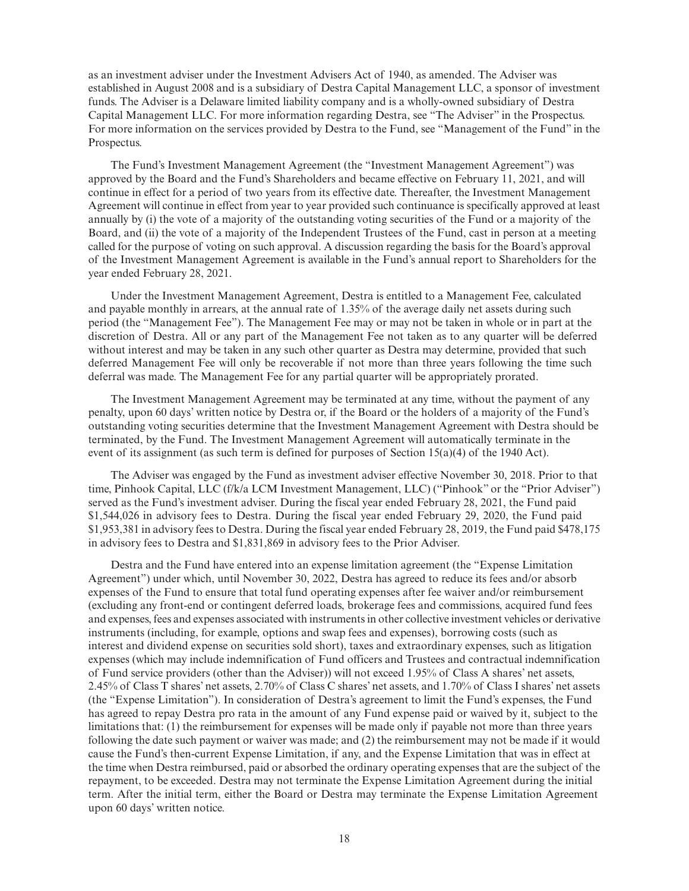as an investment adviser under the Investment Advisers Act of 1940, as amended. The Adviser was established in August 2008 and is a subsidiary of Destra Capital Management LLC, a sponsor of investment funds. The Adviser is a Delaware limited liability company and is a wholly-owned subsidiary of Destra Capital Management LLC. For more information regarding Destra, see "The Adviser" in the Prospectus. For more information on the services provided by Destra to the Fund, see "Management of the Fund" in the Prospectus.

The Fund's Investment Management Agreement (the "Investment Management Agreement") was approved by the Board and the Fund's Shareholders and became effective on February 11, 2021, and will continue in effect for a period of two years from its effective date. Thereafter, the Investment Management Agreement will continue in effect from year to year provided such continuance is specifically approved at least annually by (i) the vote of a majority of the outstanding voting securities of the Fund or a majority of the Board, and (ii) the vote of a majority of the Independent Trustees of the Fund, cast in person at a meeting called for the purpose of voting on such approval. A discussion regarding the basis for the Board's approval of the Investment Management Agreement is available in the Fund's annual report to Shareholders for the year ended February 28, 2021.

Under the Investment Management Agreement, Destra is entitled to a Management Fee, calculated and payable monthly in arrears, at the annual rate of 1.35% of the average daily net assets during such period (the "Management Fee"). The Management Fee may or may not be taken in whole or in part at the discretion of Destra. All or any part of the Management Fee not taken as to any quarter will be deferred without interest and may be taken in any such other quarter as Destra may determine, provided that such deferred Management Fee will only be recoverable if not more than three years following the time such deferral was made. The Management Fee for any partial quarter will be appropriately prorated.

The Investment Management Agreement may be terminated at any time, without the payment of any penalty, upon 60 days' written notice by Destra or, if the Board or the holders of a majority of the Fund's outstanding voting securities determine that the Investment Management Agreement with Destra should be terminated, by the Fund. The Investment Management Agreement will automatically terminate in the event of its assignment (as such term is defined for purposes of Section 15(a)(4) of the 1940 Act).

The Adviser was engaged by the Fund as investment adviser effective November 30, 2018. Prior to that time, Pinhook Capital, LLC (f/k/a LCM Investment Management, LLC) ("Pinhook" or the "Prior Adviser") served as the Fund's investment adviser. During the fiscal year ended February 28, 2021, the Fund paid \$1,544,026 in advisory fees to Destra. During the fiscal year ended February 29, 2020, the Fund paid \$1,953,381 in advisory fees to Destra. During the fiscal year ended February 28, 2019, the Fund paid \$478,175 in advisory fees to Destra and \$1,831,869 in advisory fees to the Prior Adviser.

Destra and the Fund have entered into an expense limitation agreement (the "Expense Limitation Agreement") under which, until November 30, 2022, Destra has agreed to reduce its fees and/or absorb expenses of the Fund to ensure that total fund operating expenses after fee waiver and/or reimbursement (excluding any front-end or contingent deferred loads, brokerage fees and commissions, acquired fund fees and expenses, fees and expenses associated with instruments in other collective investment vehicles or derivative instruments (including, for example, options and swap fees and expenses), borrowing costs (such as interest and dividend expense on securities sold short), taxes and extraordinary expenses, such as litigation expenses (which may include indemnification of Fund officers and Trustees and contractual indemnification of Fund service providers (other than the Adviser)) will not exceed 1.95% of Class A shares' net assets, 2.45% of Class T shares' net assets, 2.70% of Class C shares' net assets, and 1.70% of Class I shares' net assets (the "Expense Limitation"). In consideration of Destra's agreement to limit the Fund's expenses, the Fund has agreed to repay Destra pro rata in the amount of any Fund expense paid or waived by it, subject to the limitations that: (1) the reimbursement for expenses will be made only if payable not more than three years following the date such payment or waiver was made; and (2) the reimbursement may not be made if it would cause the Fund's then-current Expense Limitation, if any, and the Expense Limitation that was in effect at the time when Destra reimbursed, paid or absorbed the ordinary operating expenses that are the subject of the repayment, to be exceeded. Destra may not terminate the Expense Limitation Agreement during the initial term. After the initial term, either the Board or Destra may terminate the Expense Limitation Agreement upon 60 days' written notice.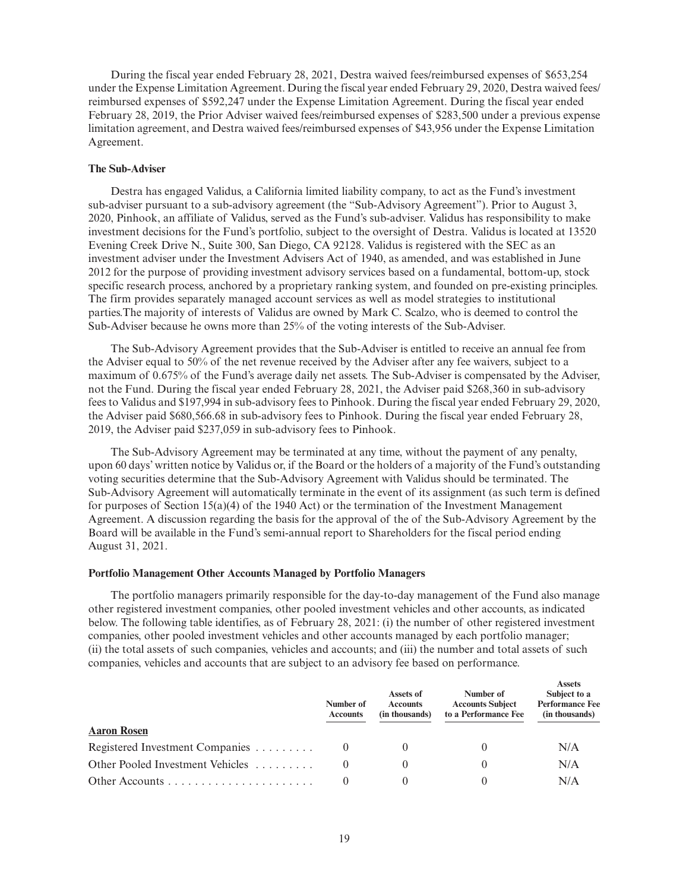During the fiscal year ended February 28, 2021, Destra waived fees/reimbursed expenses of \$653,254 under the Expense Limitation Agreement. During the fiscal year ended February 29, 2020, Destra waived fees/ reimbursed expenses of \$592,247 under the Expense Limitation Agreement. During the fiscal year ended February 28, 2019, the Prior Adviser waived fees/reimbursed expenses of \$283,500 under a previous expense limitation agreement, and Destra waived fees/reimbursed expenses of \$43,956 under the Expense Limitation Agreement.

## **The Sub-Adviser**

Destra has engaged Validus, a California limited liability company, to act as the Fund's investment sub-adviser pursuant to a sub-advisory agreement (the "Sub-Advisory Agreement"). Prior to August 3, 2020, Pinhook, an affiliate of Validus, served as the Fund's sub-adviser. Validus has responsibility to make investment decisions for the Fund's portfolio, subject to the oversight of Destra. Validus is located at 13520 Evening Creek Drive N., Suite 300, San Diego, CA 92128. Validus is registered with the SEC as an investment adviser under the Investment Advisers Act of 1940, as amended, and was established in June 2012 for the purpose of providing investment advisory services based on a fundamental, bottom-up, stock specific research process, anchored by a proprietary ranking system, and founded on pre-existing principles. The firm provides separately managed account services as well as model strategies to institutional parties.The majority of interests of Validus are owned by Mark C. Scalzo, who is deemed to control the Sub-Adviser because he owns more than 25% of the voting interests of the Sub-Adviser.

The Sub-Advisory Agreement provides that the Sub-Adviser is entitled to receive an annual fee from the Adviser equal to 50% of the net revenue received by the Adviser after any fee waivers, subject to a maximum of 0.675% of the Fund's average daily net assets. The Sub-Adviser is compensated by the Adviser, not the Fund. During the fiscal year ended February 28, 2021, the Adviser paid \$268,360 in sub-advisory fees to Validus and \$197,994 in sub-advisory fees to Pinhook. During the fiscal year ended February 29, 2020, the Adviser paid \$680,566.68 in sub-advisory fees to Pinhook. During the fiscal year ended February 28, 2019, the Adviser paid \$237,059 in sub-advisory fees to Pinhook.

The Sub-Advisory Agreement may be terminated at any time, without the payment of any penalty, upon 60 days' written notice by Validus or, if the Board or the holders of a majority of the Fund's outstanding voting securities determine that the Sub-Advisory Agreement with Validus should be terminated. The Sub-Advisory Agreement will automatically terminate in the event of its assignment (as such term is defined for purposes of Section 15(a)(4) of the 1940 Act) or the termination of the Investment Management Agreement. A discussion regarding the basis for the approval of the of the Sub-Advisory Agreement by the Board will be available in the Fund's semi-annual report to Shareholders for the fiscal period ending August 31, 2021.

#### **Portfolio Management Other Accounts Managed by Portfolio Managers**

The portfolio managers primarily responsible for the day-to-day management of the Fund also manage other registered investment companies, other pooled investment vehicles and other accounts, as indicated below. The following table identifies, as of February 28, 2021: (i) the number of other registered investment companies, other pooled investment vehicles and other accounts managed by each portfolio manager; (ii) the total assets of such companies, vehicles and accounts; and (iii) the number and total assets of such companies, vehicles and accounts that are subject to an advisory fee based on performance.

|                                  | Number of<br><b>Accounts</b> | Assets of<br><b>Accounts</b><br>(in thousands) | Number of<br><b>Accounts Subject</b><br>to a Performance Fee | <b>Assets</b><br>Subject to a<br><b>Performance Fee</b><br>(in thousands) |
|----------------------------------|------------------------------|------------------------------------------------|--------------------------------------------------------------|---------------------------------------------------------------------------|
| <b>Aaron Rosen</b>               |                              |                                                |                                                              |                                                                           |
| Registered Investment Companies  |                              |                                                |                                                              | N/A                                                                       |
| Other Pooled Investment Vehicles |                              | $\cup$                                         |                                                              | N/A                                                                       |
|                                  |                              | $\theta$                                       |                                                              | N/A                                                                       |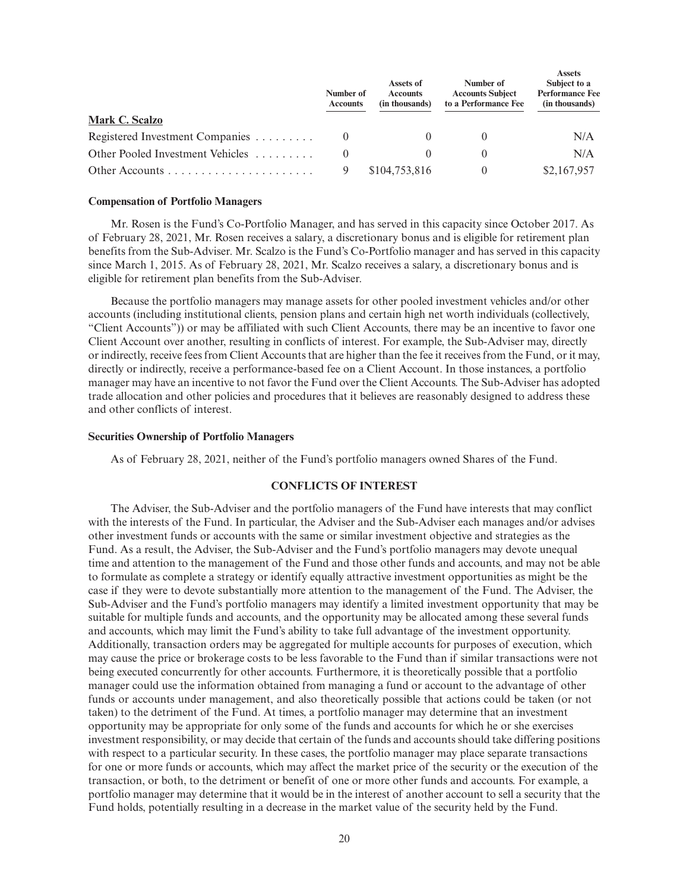|                                  | Number of<br><b>Accounts</b> | Assets of<br><b>Accounts</b><br>(in thousands) | Number of<br><b>Accounts Subject</b><br>to a Performance Fee | <b>Assets</b><br>Subject to a<br><b>Performance Fee</b><br>(in thousands) |
|----------------------------------|------------------------------|------------------------------------------------|--------------------------------------------------------------|---------------------------------------------------------------------------|
| <b>Mark C. Scalzo</b>            |                              |                                                |                                                              |                                                                           |
| Registered Investment Companies  |                              |                                                |                                                              | N/A                                                                       |
| Other Pooled Investment Vehicles |                              |                                                |                                                              | N/A                                                                       |
|                                  |                              | \$104,753,816                                  |                                                              | \$2,167,957                                                               |

#### **Compensation of Portfolio Managers**

Mr. Rosen is the Fund's Co-Portfolio Manager, and has served in this capacity since October 2017. As of February 28, 2021, Mr. Rosen receives a salary, a discretionary bonus and is eligible for retirement plan benefits from the Sub-Adviser. Mr. Scalzo is the Fund's Co-Portfolio manager and has served in this capacity since March 1, 2015. As of February 28, 2021, Mr. Scalzo receives a salary, a discretionary bonus and is eligible for retirement plan benefits from the Sub-Adviser.

Because the portfolio managers may manage assets for other pooled investment vehicles and/or other accounts (including institutional clients, pension plans and certain high net worth individuals (collectively, "Client Accounts")) or may be affiliated with such Client Accounts, there may be an incentive to favor one Client Account over another, resulting in conflicts of interest. For example, the Sub-Adviser may, directly or indirectly, receive fees from Client Accounts that are higher than the fee it receives from the Fund, or it may, directly or indirectly, receive a performance-based fee on a Client Account. In those instances, a portfolio manager may have an incentive to not favor the Fund over the Client Accounts. The Sub-Adviser has adopted trade allocation and other policies and procedures that it believes are reasonably designed to address these and other conflicts of interest.

#### **Securities Ownership of Portfolio Managers**

As of February 28, 2021, neither of the Fund's portfolio managers owned Shares of the Fund.

## **CONFLICTS OF INTEREST**

The Adviser, the Sub-Adviser and the portfolio managers of the Fund have interests that may conflict with the interests of the Fund. In particular, the Adviser and the Sub-Adviser each manages and/or advises other investment funds or accounts with the same or similar investment objective and strategies as the Fund. As a result, the Adviser, the Sub-Adviser and the Fund's portfolio managers may devote unequal time and attention to the management of the Fund and those other funds and accounts, and may not be able to formulate as complete a strategy or identify equally attractive investment opportunities as might be the case if they were to devote substantially more attention to the management of the Fund. The Adviser, the Sub-Adviser and the Fund's portfolio managers may identify a limited investment opportunity that may be suitable for multiple funds and accounts, and the opportunity may be allocated among these several funds and accounts, which may limit the Fund's ability to take full advantage of the investment opportunity. Additionally, transaction orders may be aggregated for multiple accounts for purposes of execution, which may cause the price or brokerage costs to be less favorable to the Fund than if similar transactions were not being executed concurrently for other accounts. Furthermore, it is theoretically possible that a portfolio manager could use the information obtained from managing a fund or account to the advantage of other funds or accounts under management, and also theoretically possible that actions could be taken (or not taken) to the detriment of the Fund. At times, a portfolio manager may determine that an investment opportunity may be appropriate for only some of the funds and accounts for which he or she exercises investment responsibility, or may decide that certain of the funds and accounts should take differing positions with respect to a particular security. In these cases, the portfolio manager may place separate transactions for one or more funds or accounts, which may affect the market price of the security or the execution of the transaction, or both, to the detriment or benefit of one or more other funds and accounts. For example, a portfolio manager may determine that it would be in the interest of another account to sell a security that the Fund holds, potentially resulting in a decrease in the market value of the security held by the Fund.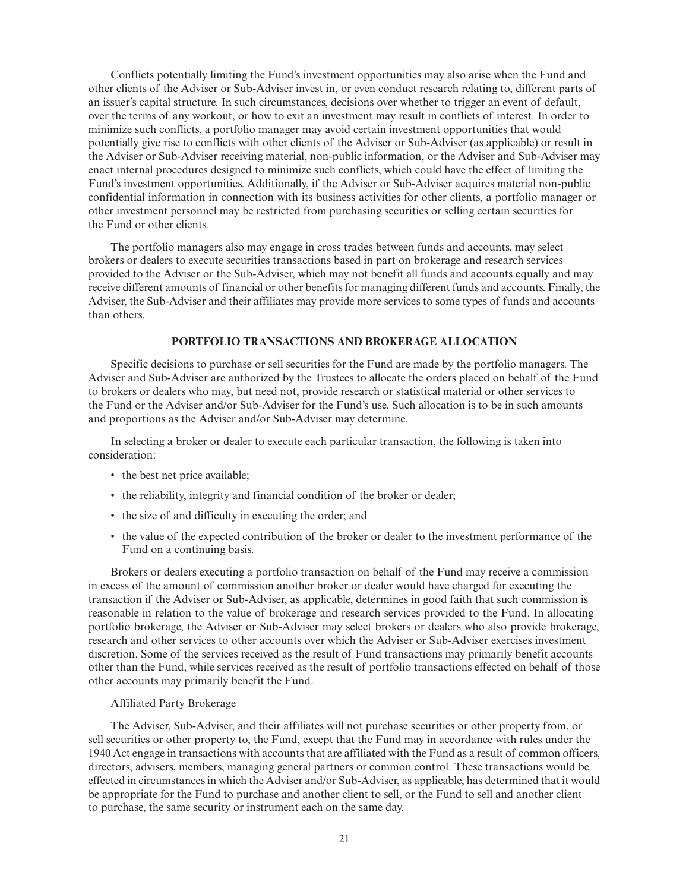Conflicts potentially limiting the Fund's investment opportunities may also arise when the Fund and other clients of the Adviser or Sub-Adviser invest in, or even conduct research relating to, different parts of an issuer's capital structure. In such circumstances, decisions over whether to trigger an event of default, over the terms of any workout, or how to exit an investment may result in conflicts of interest. In order to minimize such conflicts, a portfolio manager may avoid certain investment opportunities that would potentially give rise to conflicts with other clients of the Adviser or Sub-Adviser (as applicable) or result in the Adviser or Sub-Adviser receiving material, non-public information, or the Adviser and Sub-Adviser may enact internal procedures designed to minimize such conflicts, which could have the effect of limiting the Fund's investment opportunities. Additionally, if the Adviser or Sub-Adviser acquires material non-public confidential information in connection with its business activities for other clients, a portfolio manager or other investment personnel may be restricted from purchasing securities or selling certain securities for the Fund or other clients.

The portfolio managers also may engage in cross trades between funds and accounts, may select brokers or dealers to execute securities transactions based in part on brokerage and research services provided to the Adviser or the Sub-Adviser, which may not benefit all funds and accounts equally and may receive different amounts of financial or other benefits for managing different funds and accounts. Finally, the Adviser, the Sub-Adviser and their affiliates may provide more services to some types of funds and accounts than others.

#### **PORTFOLIO TRANSACTIONS AND BROKERAGE ALLOCATION**

Specific decisions to purchase or sell securities for the Fund are made by the portfolio managers. The Adviser and Sub-Adviser are authorized by the Trustees to allocate the orders placed on behalf of the Fund to brokers or dealers who may, but need not, provide research or statistical material or other services to the Fund or the Adviser and/or Sub-Adviser for the Fund's use. Such allocation is to be in such amounts and proportions as the Adviser and/or Sub-Adviser may determine.

In selecting a broker or dealer to execute each particular transaction, the following is taken into consideration:

- the best net price available;
- the reliability, integrity and financial condition of the broker or dealer;
- the size of and difficulty in executing the order; and
- the value of the expected contribution of the broker or dealer to the investment performance of the Fund on a continuing basis.

Brokers or dealers executing a portfolio transaction on behalf of the Fund may receive a commission in excess of the amount of commission another broker or dealer would have charged for executing the transaction if the Adviser or Sub-Adviser, as applicable, determines in good faith that such commission is reasonable in relation to the value of brokerage and research services provided to the Fund. In allocating portfolio brokerage, the Adviser or Sub-Adviser may select brokers or dealers who also provide brokerage, research and other services to other accounts over which the Adviser or Sub-Adviser exercises investment discretion. Some of the services received as the result of Fund transactions may primarily benefit accounts other than the Fund, while services received as the result of portfolio transactions effected on behalf of those other accounts may primarily benefit the Fund.

#### Affiliated Party Brokerage

The Adviser, Sub-Adviser, and their affiliates will not purchase securities or other property from, or sell securities or other property to, the Fund, except that the Fund may in accordance with rules under the 1940 Act engage in transactions with accounts that are affiliated with the Fund as a result of common officers, directors, advisers, members, managing general partners or common control. These transactions would be effected in circumstances in which the Adviser and/or Sub-Adviser, as applicable, has determined that it would be appropriate for the Fund to purchase and another client to sell, or the Fund to sell and another client to purchase, the same security or instrument each on the same day.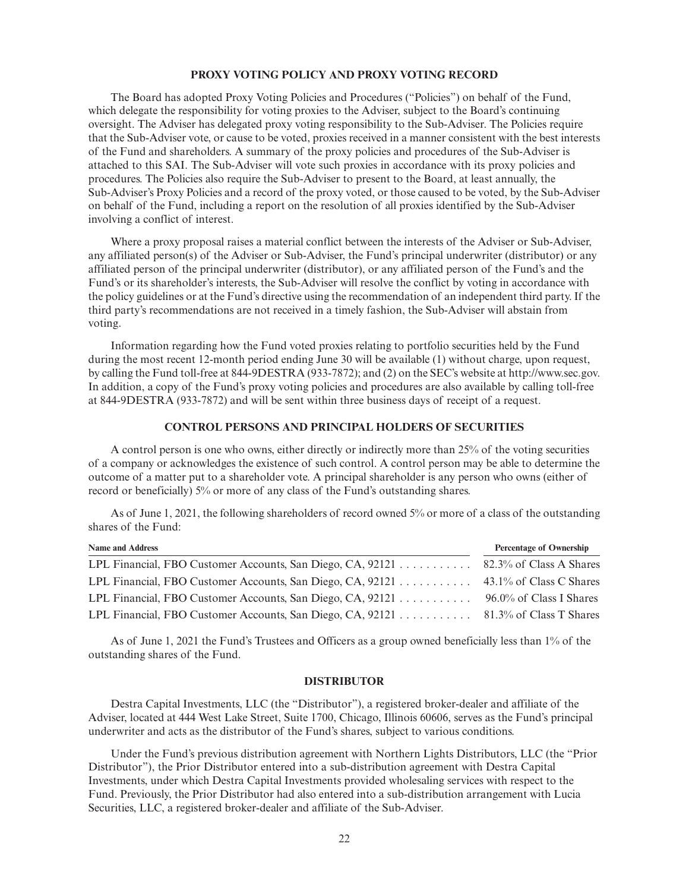## **PROXY VOTING POLICY AND PROXY VOTING RECORD**

The Board has adopted Proxy Voting Policies and Procedures ("Policies") on behalf of the Fund, which delegate the responsibility for voting proxies to the Adviser, subject to the Board's continuing oversight. The Adviser has delegated proxy voting responsibility to the Sub-Adviser. The Policies require that the Sub-Adviser vote, or cause to be voted, proxies received in a manner consistent with the best interests of the Fund and shareholders. A summary of the proxy policies and procedures of the Sub-Adviser is attached to this SAI. The Sub-Adviser will vote such proxies in accordance with its proxy policies and procedures. The Policies also require the Sub-Adviser to present to the Board, at least annually, the Sub-Adviser's Proxy Policies and a record of the proxy voted, or those caused to be voted, by the Sub-Adviser on behalf of the Fund, including a report on the resolution of all proxies identified by the Sub-Adviser involving a conflict of interest.

Where a proxy proposal raises a material conflict between the interests of the Adviser or Sub-Adviser, any affiliated person(s) of the Adviser or Sub-Adviser, the Fund's principal underwriter (distributor) or any affiliated person of the principal underwriter (distributor), or any affiliated person of the Fund's and the Fund's or its shareholder's interests, the Sub-Adviser will resolve the conflict by voting in accordance with the policy guidelines or at the Fund's directive using the recommendation of an independent third party. If the third party's recommendations are not received in a timely fashion, the Sub-Adviser will abstain from voting.

Information regarding how the Fund voted proxies relating to portfolio securities held by the Fund during the most recent 12-month period ending June 30 will be available (1) without charge, upon request, by calling the Fund toll-free at 844-9DESTRA (933-7872); and (2) on the SEC's website at http://www.sec.gov. In addition, a copy of the Fund's proxy voting policies and procedures are also available by calling toll-free at 844-9DESTRA (933-7872) and will be sent within three business days of receipt of a request.

## **CONTROL PERSONS AND PRINCIPAL HOLDERS OF SECURITIES**

A control person is one who owns, either directly or indirectly more than 25% of the voting securities of a company or acknowledges the existence of such control. A control person may be able to determine the outcome of a matter put to a shareholder vote. A principal shareholder is any person who owns (either of record or beneficially) 5% or more of any class of the Fund's outstanding shares.

As of June 1, 2021, the following shareholders of record owned 5% or more of a class of the outstanding shares of the Fund:

| <b>Name and Address</b>                                                            | <b>Percentage of Ownership</b> |
|------------------------------------------------------------------------------------|--------------------------------|
| LPL Financial, FBO Customer Accounts, San Diego, CA, 92121 82.3% of Class A Shares |                                |
| LPL Financial, FBO Customer Accounts, San Diego, CA, 92121 43.1% of Class C Shares |                                |
| LPL Financial, FBO Customer Accounts, San Diego, CA, 92121 96.0% of Class I Shares |                                |
| LPL Financial, FBO Customer Accounts, San Diego, CA, 92121 81.3% of Class T Shares |                                |

As of June 1, 2021 the Fund's Trustees and Officers as a group owned beneficially less than 1% of the outstanding shares of the Fund.

## **DISTRIBUTOR**

Destra Capital Investments, LLC (the "Distributor"), a registered broker-dealer and affiliate of the Adviser, located at 444 West Lake Street, Suite 1700, Chicago, Illinois 60606, serves as the Fund's principal underwriter and acts as the distributor of the Fund's shares, subject to various conditions.

Under the Fund's previous distribution agreement with Northern Lights Distributors, LLC (the "Prior Distributor"), the Prior Distributor entered into a sub-distribution agreement with Destra Capital Investments, under which Destra Capital Investments provided wholesaling services with respect to the Fund. Previously, the Prior Distributor had also entered into a sub-distribution arrangement with Lucia Securities, LLC, a registered broker-dealer and affiliate of the Sub-Adviser.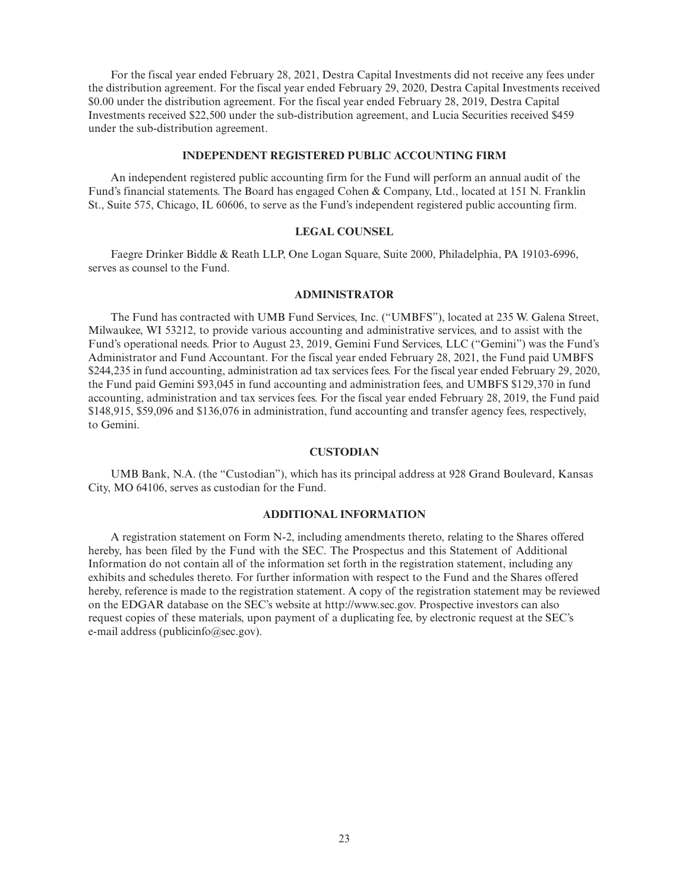For the fiscal year ended February 28, 2021, Destra Capital Investments did not receive any fees under the distribution agreement. For the fiscal year ended February 29, 2020, Destra Capital Investments received \$0.00 under the distribution agreement. For the fiscal year ended February 28, 2019, Destra Capital Investments received \$22,500 under the sub-distribution agreement, and Lucia Securities received \$459 under the sub-distribution agreement.

## **INDEPENDENT REGISTERED PUBLIC ACCOUNTING FIRM**

An independent registered public accounting firm for the Fund will perform an annual audit of the Fund's financial statements. The Board has engaged Cohen & Company, Ltd., located at 151 N. Franklin St., Suite 575, Chicago, IL 60606, to serve as the Fund's independent registered public accounting firm.

## **LEGAL COUNSEL**

Faegre Drinker Biddle & Reath LLP, One Logan Square, Suite 2000, Philadelphia, PA 19103-6996, serves as counsel to the Fund.

## **ADMINISTRATOR**

The Fund has contracted with UMB Fund Services, Inc. ("UMBFS"), located at 235 W. Galena Street, Milwaukee, WI 53212, to provide various accounting and administrative services, and to assist with the Fund's operational needs. Prior to August 23, 2019, Gemini Fund Services, LLC ("Gemini") was the Fund's Administrator and Fund Accountant. For the fiscal year ended February 28, 2021, the Fund paid UMBFS \$244,235 in fund accounting, administration ad tax services fees. For the fiscal year ended February 29, 2020, the Fund paid Gemini \$93,045 in fund accounting and administration fees, and UMBFS \$129,370 in fund accounting, administration and tax services fees. For the fiscal year ended February 28, 2019, the Fund paid \$148,915, \$59,096 and \$136,076 in administration, fund accounting and transfer agency fees, respectively, to Gemini.

## **CUSTODIAN**

UMB Bank, N.A. (the "Custodian"), which has its principal address at 928 Grand Boulevard, Kansas City, MO 64106, serves as custodian for the Fund.

## **ADDITIONAL INFORMATION**

A registration statement on Form N-2, including amendments thereto, relating to the Shares offered hereby, has been filed by the Fund with the SEC. The Prospectus and this Statement of Additional Information do not contain all of the information set forth in the registration statement, including any exhibits and schedules thereto. For further information with respect to the Fund and the Shares offered hereby, reference is made to the registration statement. A copy of the registration statement may be reviewed on the EDGAR database on the SEC's website at http://www.sec.gov. Prospective investors can also request copies of these materials, upon payment of a duplicating fee, by electronic request at the SEC's e-mail address (publicinfo@sec.gov).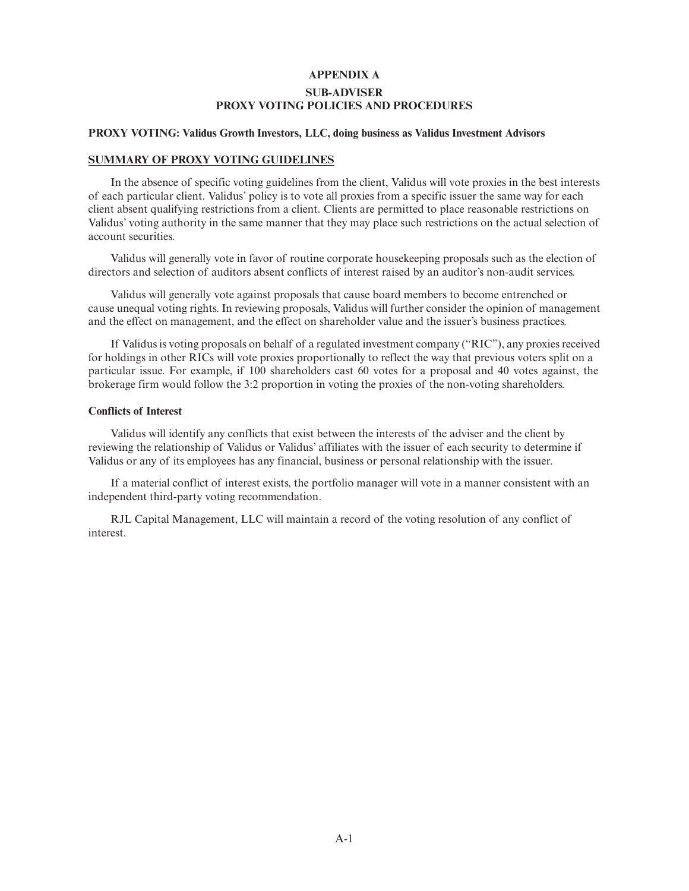# **APPENDIX A SUB-ADVISER PROXY VOTING POLICIES AND PROCEDURES**

## **PROXY VOTING: Validus Growth Investors, LLC, doing business as Validus Investment Advisors**

#### **SUMMARY OF PROXY VOTING GUIDELINES**

In the absence of specific voting guidelines from the client, Validus will vote proxies in the best interests of each particular client. Validus' policy is to vote all proxies from a specific issuer the same way for each client absent qualifying restrictions from a client. Clients are permitted to place reasonable restrictions on Validus' voting authority in the same manner that they may place such restrictions on the actual selection of account securities.

Validus will generally vote in favor of routine corporate housekeeping proposals such as the election of directors and selection of auditors absent conflicts of interest raised by an auditor's non-audit services.

Validus will generally vote against proposals that cause board members to become entrenched or cause unequal voting rights. In reviewing proposals, Validus will further consider the opinion of management and the effect on management, and the effect on shareholder value and the issuer's business practices.

If Validus is voting proposals on behalf of a regulated investment company ("RIC"), any proxies received for holdings in other RICs will vote proxies proportionally to reflect the way that previous voters split on a particular issue. For example, if 100 shareholders cast 60 votes for a proposal and 40 votes against, the brokerage firm would follow the 3:2 proportion in voting the proxies of the non-voting shareholders.

## **Conflicts of Interest**

Validus will identify any conflicts that exist between the interests of the adviser and the client by reviewing the relationship of Validus or Validus' affiliates with the issuer of each security to determine if Validus or any of its employees has any financial, business or personal relationship with the issuer.

If a material conflict of interest exists, the portfolio manager will vote in a manner consistent with an independent third-party voting recommendation.

RJL Capital Management, LLC will maintain a record of the voting resolution of any conflict of interest.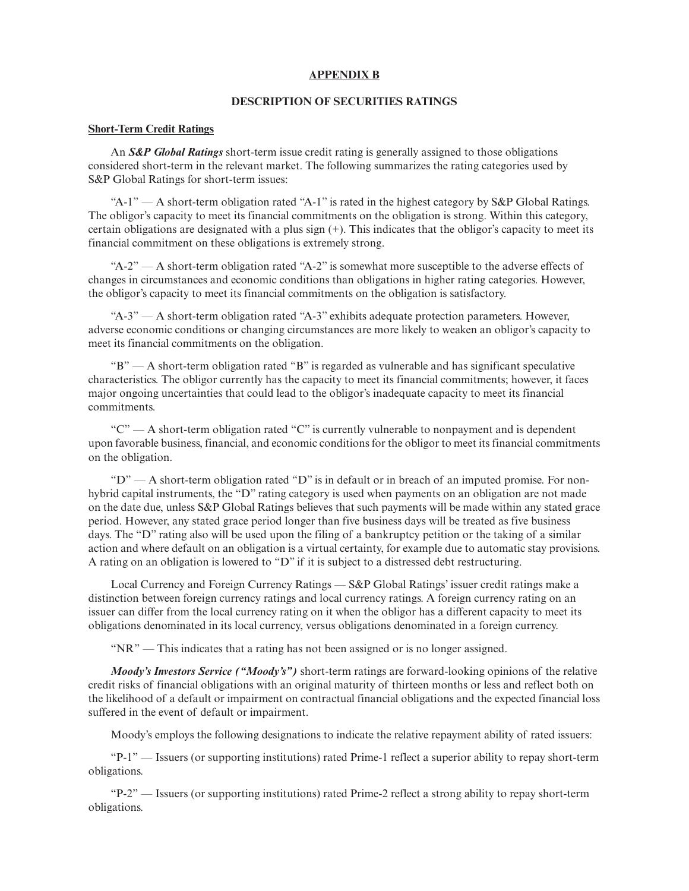## **APPENDIX B**

## **DESCRIPTION OF SECURITIES RATINGS**

## **Short-Term Credit Ratings**

An *S&P Global Ratings* short-term issue credit rating is generally assigned to those obligations considered short-term in the relevant market. The following summarizes the rating categories used by S&P Global Ratings for short-term issues:

"A-1" — A short-term obligation rated "A-1" is rated in the highest category by S&P Global Ratings. The obligor's capacity to meet its financial commitments on the obligation is strong. Within this category, certain obligations are designated with a plus sign (+). This indicates that the obligor's capacity to meet its financial commitment on these obligations is extremely strong.

"A-2" — A short-term obligation rated "A-2" is somewhat more susceptible to the adverse effects of changes in circumstances and economic conditions than obligations in higher rating categories. However, the obligor's capacity to meet its financial commitments on the obligation is satisfactory.

"A-3" — A short-term obligation rated "A-3" exhibits adequate protection parameters. However, adverse economic conditions or changing circumstances are more likely to weaken an obligor's capacity to meet its financial commitments on the obligation.

"B" — A short-term obligation rated "B" is regarded as vulnerable and has significant speculative characteristics. The obligor currently has the capacity to meet its financial commitments; however, it faces major ongoing uncertainties that could lead to the obligor's inadequate capacity to meet its financial commitments.

" $C$ "  $- A$  short-term obligation rated " $C$ " is currently vulnerable to nonpayment and is dependent upon favorable business, financial, and economic conditions for the obligor to meet its financial commitments on the obligation.

" $D$ "  $-$  A short-term obligation rated " $D$ " is in default or in breach of an imputed promise. For nonhybrid capital instruments, the "D" rating category is used when payments on an obligation are not made on the date due, unless S&P Global Ratings believes that such payments will be made within any stated grace period. However, any stated grace period longer than five business days will be treated as five business days. The "D" rating also will be used upon the filing of a bankruptcy petition or the taking of a similar action and where default on an obligation is a virtual certainty, for example due to automatic stay provisions. A rating on an obligation is lowered to "D" if it is subject to a distressed debt restructuring.

Local Currency and Foreign Currency Ratings — S&P Global Ratings' issuer credit ratings make a distinction between foreign currency ratings and local currency ratings. A foreign currency rating on an issuer can differ from the local currency rating on it when the obligor has a different capacity to meet its obligations denominated in its local currency, versus obligations denominated in a foreign currency.

"NR" — This indicates that a rating has not been assigned or is no longer assigned.

*Moody's Investors Service ("Moody's")* short-term ratings are forward-looking opinions of the relative credit risks of financial obligations with an original maturity of thirteen months or less and reflect both on the likelihood of a default or impairment on contractual financial obligations and the expected financial loss suffered in the event of default or impairment.

Moody's employs the following designations to indicate the relative repayment ability of rated issuers:

"P-1" — Issuers (or supporting institutions) rated Prime-1 reflect a superior ability to repay short-term obligations.

"P-2" — Issuers (or supporting institutions) rated Prime-2 reflect a strong ability to repay short-term obligations.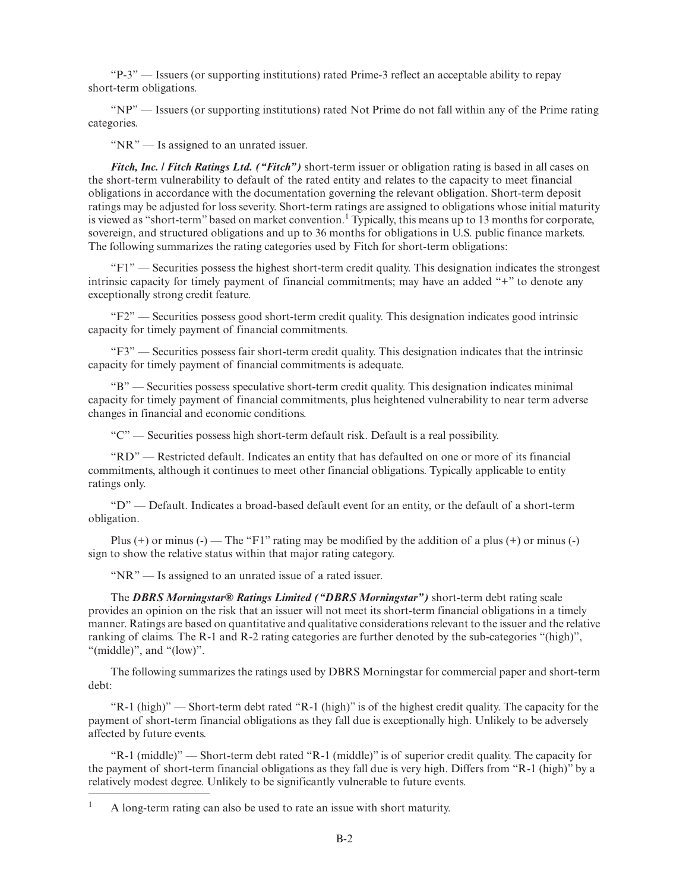"P-3" — Issuers (or supporting institutions) rated Prime-3 reflect an acceptable ability to repay short-term obligations.

"NP" — Issuers (or supporting institutions) rated Not Prime do not fall within any of the Prime rating categories.

"NR" — Is assigned to an unrated issuer.

*Fitch, Inc. / Fitch Ratings Ltd. ("Fitch")* short-term issuer or obligation rating is based in all cases on the short-term vulnerability to default of the rated entity and relates to the capacity to meet financial obligations in accordance with the documentation governing the relevant obligation. Short-term deposit ratings may be adjusted for loss severity. Short-term ratings are assigned to obligations whose initial maturity is viewed as "short-term" based on market convention.<sup>1</sup> Typically, this means up to 13 months for corporate, sovereign, and structured obligations and up to 36 months for obligations in U.S. public finance markets. The following summarizes the rating categories used by Fitch for short-term obligations:

"F1" — Securities possess the highest short-term credit quality. This designation indicates the strongest intrinsic capacity for timely payment of financial commitments; may have an added "+" to denote any exceptionally strong credit feature.

"F2" — Securities possess good short-term credit quality. This designation indicates good intrinsic capacity for timely payment of financial commitments.

"F3" — Securities possess fair short-term credit quality. This designation indicates that the intrinsic capacity for timely payment of financial commitments is adequate.

"B" — Securities possess speculative short-term credit quality. This designation indicates minimal capacity for timely payment of financial commitments, plus heightened vulnerability to near term adverse changes in financial and economic conditions.

"C" — Securities possess high short-term default risk. Default is a real possibility.

"RD" — Restricted default. Indicates an entity that has defaulted on one or more of its financial commitments, although it continues to meet other financial obligations. Typically applicable to entity ratings only.

"D" — Default. Indicates a broad-based default event for an entity, or the default of a short-term obligation.

Plus  $(+)$  or minus  $(-)$  — The "F1" rating may be modified by the addition of a plus  $(+)$  or minus  $(-)$ sign to show the relative status within that major rating category.

"NR" — Is assigned to an unrated issue of a rated issuer.

The *DBRS Morningstar® Ratings Limited ("DBRS Morningstar")* short-term debt rating scale provides an opinion on the risk that an issuer will not meet its short-term financial obligations in a timely manner. Ratings are based on quantitative and qualitative considerations relevant to the issuer and the relative ranking of claims. The R-1 and R-2 rating categories are further denoted by the sub-categories "(high)", "(middle)", and "(low)".

The following summarizes the ratings used by DBRS Morningstar for commercial paper and short-term debt:

"R-1 (high)" — Short-term debt rated "R-1 (high)" is of the highest credit quality. The capacity for the payment of short-term financial obligations as they fall due is exceptionally high. Unlikely to be adversely affected by future events.

"R-1 (middle)" — Short-term debt rated "R-1 (middle)" is of superior credit quality. The capacity for the payment of short-term financial obligations as they fall due is very high. Differs from "R-1 (high)" by a relatively modest degree. Unlikely to be significantly vulnerable to future events.

 $1$  A long-term rating can also be used to rate an issue with short maturity.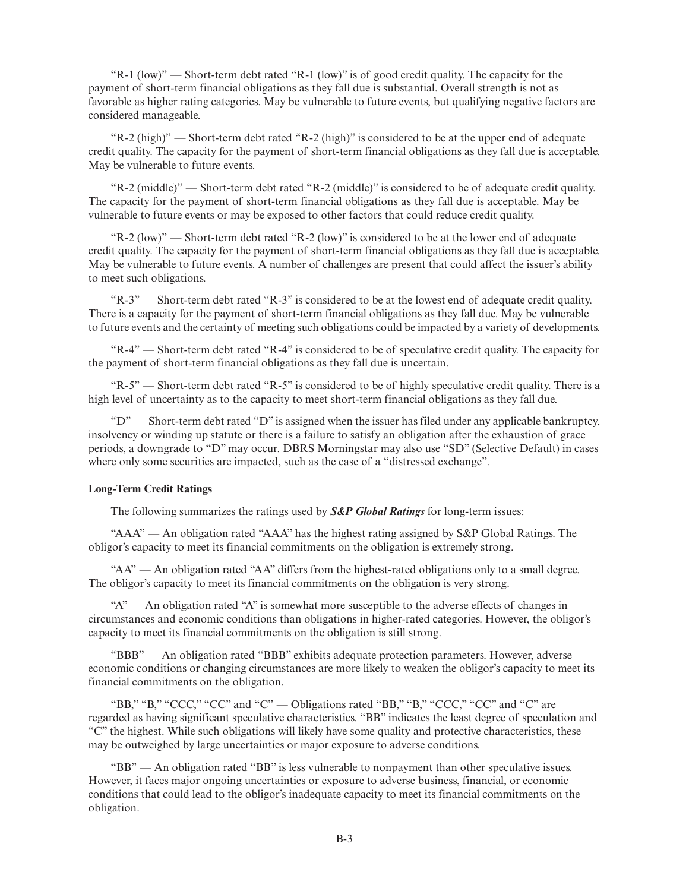"R-1 (low)" — Short-term debt rated "R-1 (low)" is of good credit quality. The capacity for the payment of short-term financial obligations as they fall due is substantial. Overall strength is not as favorable as higher rating categories. May be vulnerable to future events, but qualifying negative factors are considered manageable.

"R-2 (high)" — Short-term debt rated "R-2 (high)" is considered to be at the upper end of adequate credit quality. The capacity for the payment of short-term financial obligations as they fall due is acceptable. May be vulnerable to future events.

"R-2 (middle)" — Short-term debt rated "R-2 (middle)" is considered to be of adequate credit quality. The capacity for the payment of short-term financial obligations as they fall due is acceptable. May be vulnerable to future events or may be exposed to other factors that could reduce credit quality.

"R-2 (low)" — Short-term debt rated "R-2 (low)" is considered to be at the lower end of adequate credit quality. The capacity for the payment of short-term financial obligations as they fall due is acceptable. May be vulnerable to future events. A number of challenges are present that could affect the issuer's ability to meet such obligations.

"R-3" — Short-term debt rated "R-3" is considered to be at the lowest end of adequate credit quality. There is a capacity for the payment of short-term financial obligations as they fall due. May be vulnerable to future events and the certainty of meeting such obligations could be impacted by a variety of developments.

"R-4" — Short-term debt rated "R-4" is considered to be of speculative credit quality. The capacity for the payment of short-term financial obligations as they fall due is uncertain.

"R-5" — Short-term debt rated "R-5" is considered to be of highly speculative credit quality. There is a high level of uncertainty as to the capacity to meet short-term financial obligations as they fall due.

" $D$ " — Short-term debt rated " $D$ " is assigned when the issuer has filed under any applicable bankruptcy, insolvency or winding up statute or there is a failure to satisfy an obligation after the exhaustion of grace periods, a downgrade to "D" may occur. DBRS Morningstar may also use "SD" (Selective Default) in cases where only some securities are impacted, such as the case of a "distressed exchange".

## **Long-Term Credit Ratings**

The following summarizes the ratings used by *S&P Global Ratings* for long-term issues:

"AAA" — An obligation rated "AAA" has the highest rating assigned by S&P Global Ratings. The obligor's capacity to meet its financial commitments on the obligation is extremely strong.

"AA" — An obligation rated "AA" differs from the highest-rated obligations only to a small degree. The obligor's capacity to meet its financial commitments on the obligation is very strong.

"A" — An obligation rated "A" is somewhat more susceptible to the adverse effects of changes in circumstances and economic conditions than obligations in higher-rated categories. However, the obligor's capacity to meet its financial commitments on the obligation is still strong.

"BBB" — An obligation rated "BBB" exhibits adequate protection parameters. However, adverse economic conditions or changing circumstances are more likely to weaken the obligor's capacity to meet its financial commitments on the obligation.

"BB," "B," "CCC," "CC" and "C" — Obligations rated "BB," "B," "CCC," "CC" and "C" are regarded as having significant speculative characteristics. "BB" indicates the least degree of speculation and "C" the highest. While such obligations will likely have some quality and protective characteristics, these may be outweighed by large uncertainties or major exposure to adverse conditions.

"BB" — An obligation rated "BB" is less vulnerable to nonpayment than other speculative issues. However, it faces major ongoing uncertainties or exposure to adverse business, financial, or economic conditions that could lead to the obligor's inadequate capacity to meet its financial commitments on the obligation.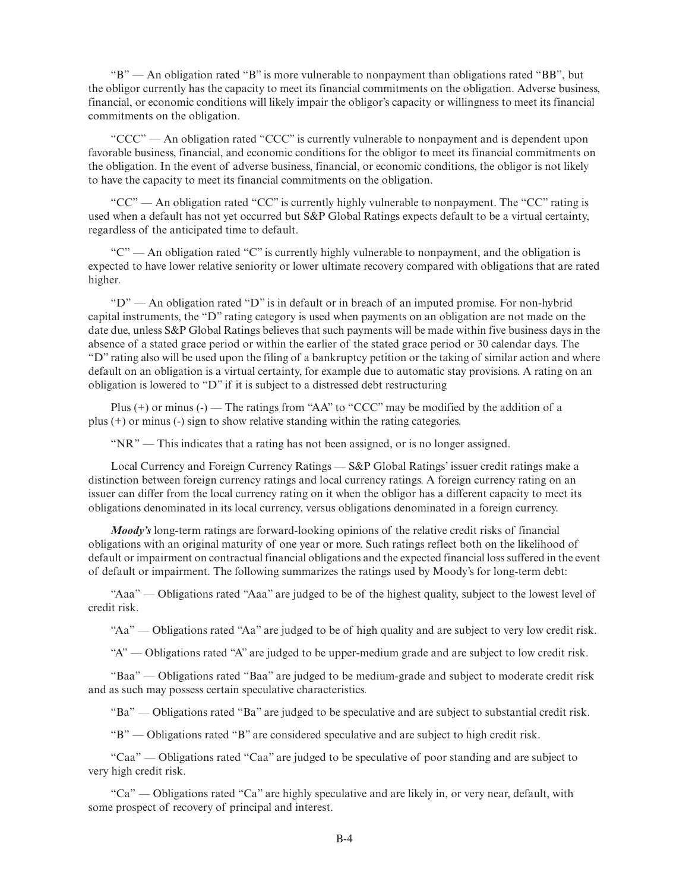"B" — An obligation rated "B" is more vulnerable to nonpayment than obligations rated "BB", but the obligor currently has the capacity to meet its financial commitments on the obligation. Adverse business, financial, or economic conditions will likely impair the obligor's capacity or willingness to meet its financial commitments on the obligation.

"CCC" — An obligation rated "CCC" is currently vulnerable to nonpayment and is dependent upon favorable business, financial, and economic conditions for the obligor to meet its financial commitments on the obligation. In the event of adverse business, financial, or economic conditions, the obligor is not likely to have the capacity to meet its financial commitments on the obligation.

" $CC$ " — An obligation rated "CC" is currently highly vulnerable to nonpayment. The "CC" rating is used when a default has not yet occurred but S&P Global Ratings expects default to be a virtual certainty, regardless of the anticipated time to default.

"C" — An obligation rated "C" is currently highly vulnerable to nonpayment, and the obligation is expected to have lower relative seniority or lower ultimate recovery compared with obligations that are rated higher.

"D" — An obligation rated "D" is in default or in breach of an imputed promise. For non-hybrid capital instruments, the "D" rating category is used when payments on an obligation are not made on the date due, unless S&P Global Ratings believes that such payments will be made within five business days in the absence of a stated grace period or within the earlier of the stated grace period or 30 calendar days. The "D" rating also will be used upon the filing of a bankruptcy petition or the taking of similar action and where default on an obligation is a virtual certainty, for example due to automatic stay provisions. A rating on an obligation is lowered to "D" if it is subject to a distressed debt restructuring

Plus  $(+)$  or minus  $(-)$  — The ratings from "AA" to "CCC" may be modified by the addition of a plus (+) or minus (-) sign to show relative standing within the rating categories.

"NR" — This indicates that a rating has not been assigned, or is no longer assigned.

Local Currency and Foreign Currency Ratings — S&P Global Ratings' issuer credit ratings make a distinction between foreign currency ratings and local currency ratings. A foreign currency rating on an issuer can differ from the local currency rating on it when the obligor has a different capacity to meet its obligations denominated in its local currency, versus obligations denominated in a foreign currency.

*Moody's* long-term ratings are forward-looking opinions of the relative credit risks of financial obligations with an original maturity of one year or more. Such ratings reflect both on the likelihood of default or impairment on contractual financial obligations and the expected financial loss suffered in the event of default or impairment. The following summarizes the ratings used by Moody's for long-term debt:

"Aaa" — Obligations rated "Aaa" are judged to be of the highest quality, subject to the lowest level of credit risk.

"Aa" — Obligations rated "Aa" are judged to be of high quality and are subject to very low credit risk.

"A" — Obligations rated "A" are judged to be upper-medium grade and are subject to low credit risk.

"Baa" — Obligations rated "Baa" are judged to be medium-grade and subject to moderate credit risk and as such may possess certain speculative characteristics.

"Ba" — Obligations rated "Ba" are judged to be speculative and are subject to substantial credit risk.

"B" — Obligations rated "B" are considered speculative and are subject to high credit risk.

"Caa" — Obligations rated "Caa" are judged to be speculative of poor standing and are subject to very high credit risk.

"Ca" — Obligations rated "Ca" are highly speculative and are likely in, or very near, default, with some prospect of recovery of principal and interest.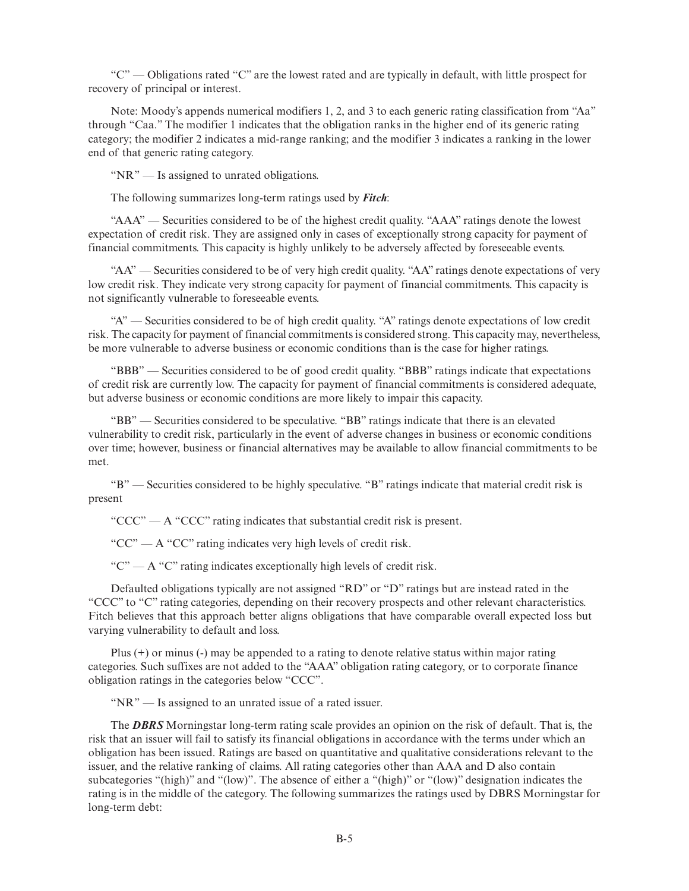"C" — Obligations rated "C" are the lowest rated and are typically in default, with little prospect for recovery of principal or interest.

Note: Moody's appends numerical modifiers 1, 2, and 3 to each generic rating classification from "Aa" through "Caa." The modifier 1 indicates that the obligation ranks in the higher end of its generic rating category; the modifier 2 indicates a mid-range ranking; and the modifier 3 indicates a ranking in the lower end of that generic rating category.

"NR" — Is assigned to unrated obligations.

The following summarizes long-term ratings used by *Fitch*:

"AAA" — Securities considered to be of the highest credit quality. "AAA" ratings denote the lowest expectation of credit risk. They are assigned only in cases of exceptionally strong capacity for payment of financial commitments. This capacity is highly unlikely to be adversely affected by foreseeable events.

"AA" — Securities considered to be of very high credit quality. "AA" ratings denote expectations of very low credit risk. They indicate very strong capacity for payment of financial commitments. This capacity is not significantly vulnerable to foreseeable events.

"A" — Securities considered to be of high credit quality. "A" ratings denote expectations of low credit risk. The capacity for payment of financial commitments is considered strong. This capacity may, nevertheless, be more vulnerable to adverse business or economic conditions than is the case for higher ratings.

"BBB" — Securities considered to be of good credit quality. "BBB" ratings indicate that expectations of credit risk are currently low. The capacity for payment of financial commitments is considered adequate, but adverse business or economic conditions are more likely to impair this capacity.

"BB" — Securities considered to be speculative. "BB" ratings indicate that there is an elevated vulnerability to credit risk, particularly in the event of adverse changes in business or economic conditions over time; however, business or financial alternatives may be available to allow financial commitments to be met.

"B" — Securities considered to be highly speculative. "B" ratings indicate that material credit risk is present

"CCC" — A "CCC" rating indicates that substantial credit risk is present.

"CC" — A "CC" rating indicates very high levels of credit risk.

"C" — A "C" rating indicates exceptionally high levels of credit risk.

Defaulted obligations typically are not assigned "RD" or "D" ratings but are instead rated in the "CCC" to "C" rating categories, depending on their recovery prospects and other relevant characteristics. Fitch believes that this approach better aligns obligations that have comparable overall expected loss but varying vulnerability to default and loss.

Plus (+) or minus (-) may be appended to a rating to denote relative status within major rating categories. Such suffixes are not added to the "AAA" obligation rating category, or to corporate finance obligation ratings in the categories below "CCC".

"NR" — Is assigned to an unrated issue of a rated issuer.

The *DBRS* Morningstar long-term rating scale provides an opinion on the risk of default. That is, the risk that an issuer will fail to satisfy its financial obligations in accordance with the terms under which an obligation has been issued. Ratings are based on quantitative and qualitative considerations relevant to the issuer, and the relative ranking of claims. All rating categories other than AAA and D also contain subcategories "(high)" and "(low)". The absence of either a "(high)" or "(low)" designation indicates the rating is in the middle of the category. The following summarizes the ratings used by DBRS Morningstar for long-term debt: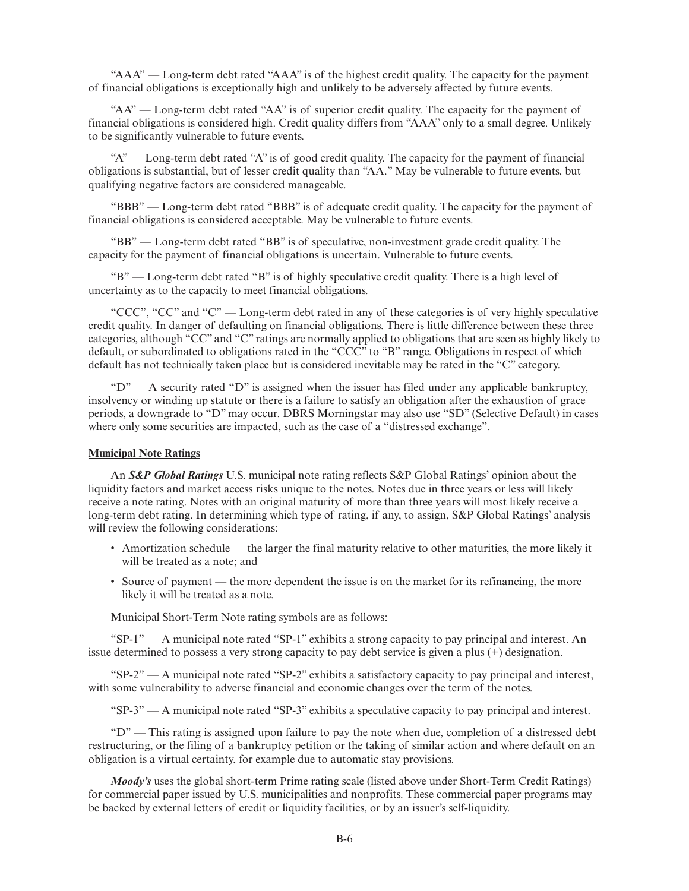"AAA" — Long-term debt rated "AAA" is of the highest credit quality. The capacity for the payment of financial obligations is exceptionally high and unlikely to be adversely affected by future events.

"AA" — Long-term debt rated "AA" is of superior credit quality. The capacity for the payment of financial obligations is considered high. Credit quality differs from "AAA" only to a small degree. Unlikely to be significantly vulnerable to future events.

"A" — Long-term debt rated "A" is of good credit quality. The capacity for the payment of financial obligations is substantial, but of lesser credit quality than "AA." May be vulnerable to future events, but qualifying negative factors are considered manageable.

"BBB" — Long-term debt rated "BBB" is of adequate credit quality. The capacity for the payment of financial obligations is considered acceptable. May be vulnerable to future events.

"BB" — Long-term debt rated "BB" is of speculative, non-investment grade credit quality. The capacity for the payment of financial obligations is uncertain. Vulnerable to future events.

"B" — Long-term debt rated "B" is of highly speculative credit quality. There is a high level of uncertainty as to the capacity to meet financial obligations.

"CCC", "CC" and "C" — Long-term debt rated in any of these categories is of very highly speculative credit quality. In danger of defaulting on financial obligations. There is little difference between these three categories, although "CC" and "C" ratings are normally applied to obligations that are seen as highly likely to default, or subordinated to obligations rated in the "CCC" to "B" range. Obligations in respect of which default has not technically taken place but is considered inevitable may be rated in the "C" category.

" $D$ " — A security rated " $D$ " is assigned when the issuer has filed under any applicable bankruptcy, insolvency or winding up statute or there is a failure to satisfy an obligation after the exhaustion of grace periods, a downgrade to "D" may occur. DBRS Morningstar may also use "SD" (Selective Default) in cases where only some securities are impacted, such as the case of a "distressed exchange".

#### **Municipal Note Ratings**

An *S&P Global Ratings* U.S. municipal note rating reflects S&P Global Ratings' opinion about the liquidity factors and market access risks unique to the notes. Notes due in three years or less will likely receive a note rating. Notes with an original maturity of more than three years will most likely receive a long-term debt rating. In determining which type of rating, if any, to assign, S&P Global Ratings' analysis will review the following considerations:

- Amortization schedule the larger the final maturity relative to other maturities, the more likely it will be treated as a note; and
- Source of payment the more dependent the issue is on the market for its refinancing, the more likely it will be treated as a note.

Municipal Short-Term Note rating symbols are as follows:

"SP-1" — A municipal note rated "SP-1" exhibits a strong capacity to pay principal and interest. An issue determined to possess a very strong capacity to pay debt service is given a plus (+) designation.

"SP-2" — A municipal note rated "SP-2" exhibits a satisfactory capacity to pay principal and interest, with some vulnerability to adverse financial and economic changes over the term of the notes.

"SP-3" — A municipal note rated "SP-3" exhibits a speculative capacity to pay principal and interest.

" $D$ " — This rating is assigned upon failure to pay the note when due, completion of a distressed debt restructuring, or the filing of a bankruptcy petition or the taking of similar action and where default on an obligation is a virtual certainty, for example due to automatic stay provisions.

*Moody's* uses the global short-term Prime rating scale (listed above under Short-Term Credit Ratings) for commercial paper issued by U.S. municipalities and nonprofits. These commercial paper programs may be backed by external letters of credit or liquidity facilities, or by an issuer's self-liquidity.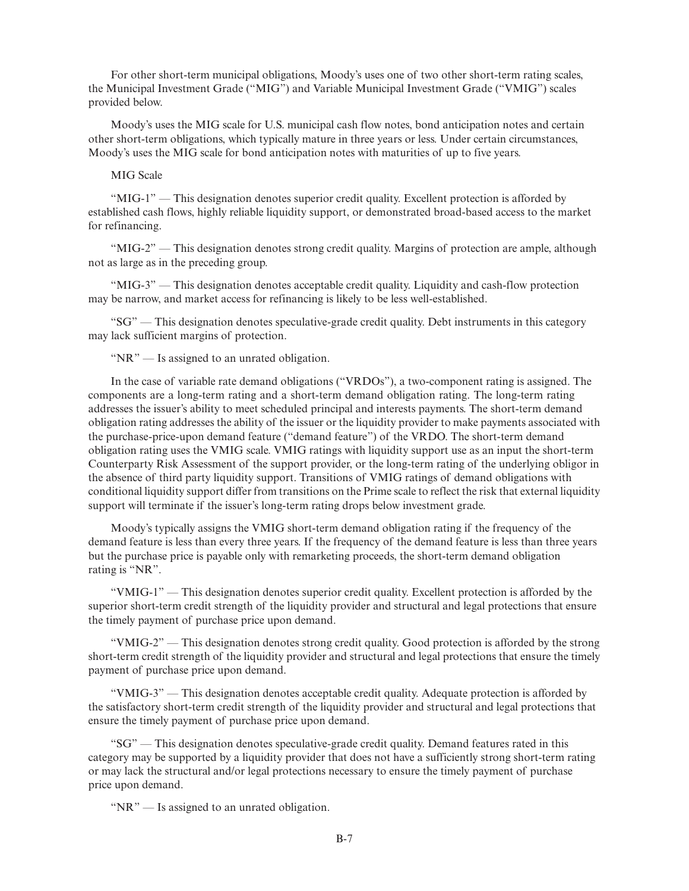For other short-term municipal obligations, Moody's uses one of two other short-term rating scales, the Municipal Investment Grade ("MIG") and Variable Municipal Investment Grade ("VMIG") scales provided below.

Moody's uses the MIG scale for U.S. municipal cash flow notes, bond anticipation notes and certain other short-term obligations, which typically mature in three years or less. Under certain circumstances, Moody's uses the MIG scale for bond anticipation notes with maturities of up to five years.

#### MIG Scale

"MIG-1" — This designation denotes superior credit quality. Excellent protection is afforded by established cash flows, highly reliable liquidity support, or demonstrated broad-based access to the market for refinancing.

"MIG-2" — This designation denotes strong credit quality. Margins of protection are ample, although not as large as in the preceding group.

"MIG-3" — This designation denotes acceptable credit quality. Liquidity and cash-flow protection may be narrow, and market access for refinancing is likely to be less well-established.

"SG" — This designation denotes speculative-grade credit quality. Debt instruments in this category may lack sufficient margins of protection.

"NR" — Is assigned to an unrated obligation.

In the case of variable rate demand obligations ("VRDOs"), a two-component rating is assigned. The components are a long-term rating and a short-term demand obligation rating. The long-term rating addresses the issuer's ability to meet scheduled principal and interests payments. The short-term demand obligation rating addresses the ability of the issuer or the liquidity provider to make payments associated with the purchase-price-upon demand feature ("demand feature") of the VRDO. The short-term demand obligation rating uses the VMIG scale. VMIG ratings with liquidity support use as an input the short-term Counterparty Risk Assessment of the support provider, or the long-term rating of the underlying obligor in the absence of third party liquidity support. Transitions of VMIG ratings of demand obligations with conditional liquidity support differ from transitions on the Prime scale to reflect the risk that external liquidity support will terminate if the issuer's long-term rating drops below investment grade.

Moody's typically assigns the VMIG short-term demand obligation rating if the frequency of the demand feature is less than every three years. If the frequency of the demand feature is less than three years but the purchase price is payable only with remarketing proceeds, the short-term demand obligation rating is "NR".

"VMIG-1" — This designation denotes superior credit quality. Excellent protection is afforded by the superior short-term credit strength of the liquidity provider and structural and legal protections that ensure the timely payment of purchase price upon demand.

"VMIG-2" — This designation denotes strong credit quality. Good protection is afforded by the strong short-term credit strength of the liquidity provider and structural and legal protections that ensure the timely payment of purchase price upon demand.

"VMIG-3" — This designation denotes acceptable credit quality. Adequate protection is afforded by the satisfactory short-term credit strength of the liquidity provider and structural and legal protections that ensure the timely payment of purchase price upon demand.

"SG" — This designation denotes speculative-grade credit quality. Demand features rated in this category may be supported by a liquidity provider that does not have a sufficiently strong short-term rating or may lack the structural and/or legal protections necessary to ensure the timely payment of purchase price upon demand.

"NR" — Is assigned to an unrated obligation.